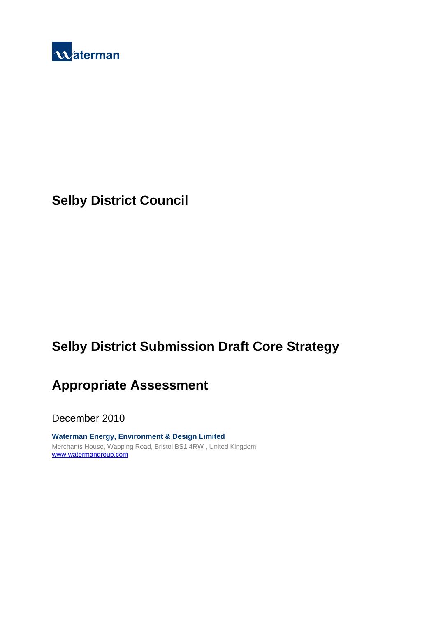

# **Selby District Council**

# **Selby District Submission Draft Core Strategy**

## **Appropriate Assessment**

December 2010

**Waterman Energy, Environment & Design Limited**  Merchants House, Wapping Road, Bristol BS1 4RW , United Kingdom www.watermangroup.com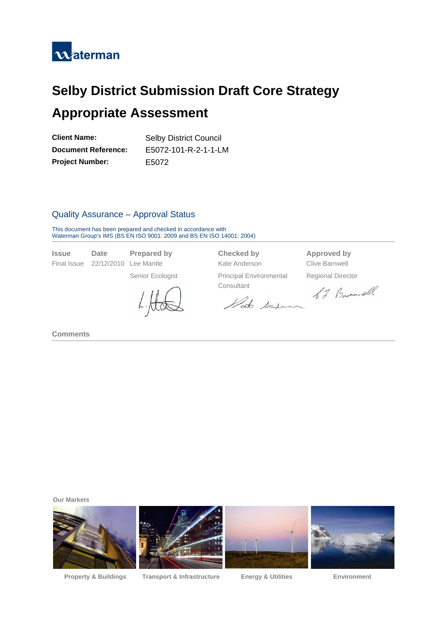

# **Selby District Submission Draft Core Strategy Appropriate Assessment**

| <b>Client Name:</b>        | <b>Selby District Council</b> |  |  |
|----------------------------|-------------------------------|--|--|
| <b>Document Reference:</b> | E5072-101-R-2-1-1-LM          |  |  |
| <b>Project Number:</b>     | E5072                         |  |  |

## Quality Assurance – Approval Status

This document has been prepared and checked in accordance with Waterman Group's IMS (BS EN ISO 9001: 2009 and BS EN ISO 14001: 2004)

| <i><b>Issue</b></i> | Date     |  |  |
|---------------------|----------|--|--|
| <b>Final Issue</b>  | 22/12/20 |  |  |

Final Islam Issue 2010 Lee Mantle **Clive Barnwell** 

Senior Ecologist Principal Environmental

Consultant<br>Vate Sondaman b 4 Barne ell

**Prepared by Checked by Approved by** 

Regional Director

**Comments** 

**Our Markets** 



**Property & Buildings Transport & Infrastructure Energy & Utilities Environment**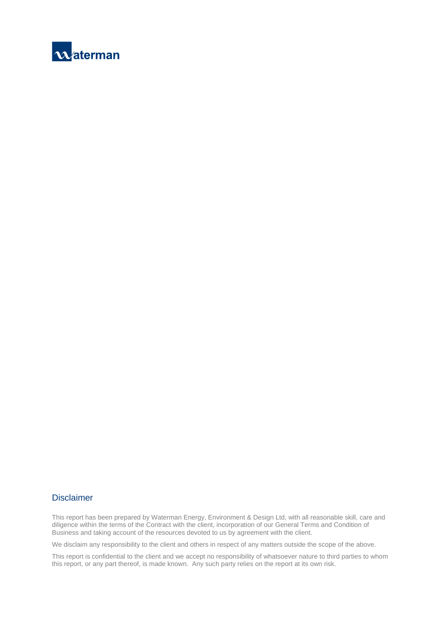

#### Disclaimer

This report has been prepared by Waterman Energy, Environment & Design Ltd, with all reasonable skill, care and diligence within the terms of the Contract with the client, incorporation of our General Terms and Condition of Business and taking account of the resources devoted to us by agreement with the client.

We disclaim any responsibility to the client and others in respect of any matters outside the scope of the above.

This report is confidential to the client and we accept no responsibility of whatsoever nature to third parties to whom this report, or any part thereof, is made known. Any such party relies on the report at its own risk.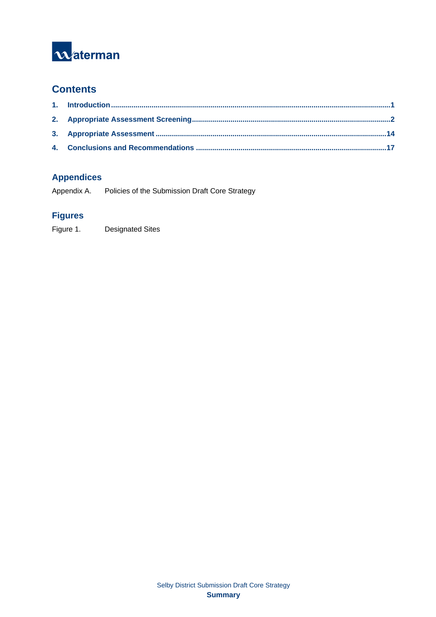

## **Contents**

## **Appendices**

Appendix A. Policies of the Submission Draft Core Strategy

## **Figures**

Figure 1. Designated Sites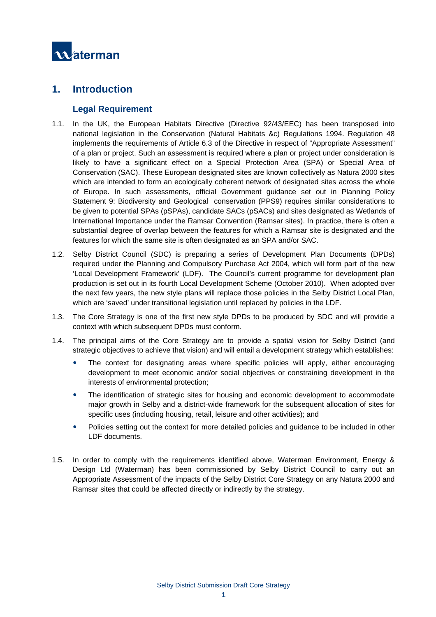

## **1. Introduction**

#### **Legal Requirement**

- 1.1. In the UK, the European Habitats Directive (Directive 92/43/EEC) has been transposed into national legislation in the Conservation (Natural Habitats &c) Regulations 1994. Regulation 48 implements the requirements of Article 6.3 of the Directive in respect of "Appropriate Assessment" of a plan or project. Such an assessment is required where a plan or project under consideration is likely to have a significant effect on a Special Protection Area (SPA) or Special Area of Conservation (SAC). These European designated sites are known collectively as Natura 2000 sites which are intended to form an ecologically coherent network of designated sites across the whole of Europe. In such assessments, official Government guidance set out in Planning Policy Statement 9: Biodiversity and Geological conservation (PPS9) requires similar considerations to be given to potential SPAs (pSPAs), candidate SACs (pSACs) and sites designated as Wetlands of International Importance under the Ramsar Convention (Ramsar sites). In practice, there is often a substantial degree of overlap between the features for which a Ramsar site is designated and the features for which the same site is often designated as an SPA and/or SAC.
- 1.2. Selby District Council (SDC) is preparing a series of Development Plan Documents (DPDs) required under the Planning and Compulsory Purchase Act 2004, which will form part of the new 'Local Development Framework' (LDF). The Council's current programme for development plan production is set out in its fourth Local Development Scheme (October 2010). When adopted over the next few years, the new style plans will replace those policies in the Selby District Local Plan, which are 'saved' under transitional legislation until replaced by policies in the LDF.
- 1.3. The Core Strategy is one of the first new style DPDs to be produced by SDC and will provide a context with which subsequent DPDs must conform.
- 1.4. The principal aims of the Core Strategy are to provide a spatial vision for Selby District (and strategic objectives to achieve that vision) and will entail a development strategy which establishes:
	- The context for designating areas where specific policies will apply, either encouraging development to meet economic and/or social objectives or constraining development in the interests of environmental protection;
	- The identification of strategic sites for housing and economic development to accommodate major growth in Selby and a district-wide framework for the subsequent allocation of sites for specific uses (including housing, retail, leisure and other activities); and
	- Policies setting out the context for more detailed policies and guidance to be included in other LDF documents.
- 1.5. In order to comply with the requirements identified above, Waterman Environment, Energy & Design Ltd (Waterman) has been commissioned by Selby District Council to carry out an Appropriate Assessment of the impacts of the Selby District Core Strategy on any Natura 2000 and Ramsar sites that could be affected directly or indirectly by the strategy.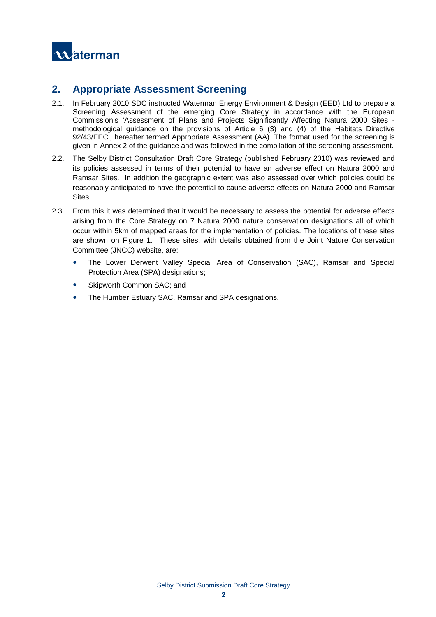

## **2. Appropriate Assessment Screening**

- 2.1. In February 2010 SDC instructed Waterman Energy Environment & Design (EED) Ltd to prepare a Screening Assessment of the emerging Core Strategy in accordance with the European Commission's 'Assessment of Plans and Projects Significantly Affecting Natura 2000 Sites methodological guidance on the provisions of Article 6 (3) and (4) of the Habitats Directive 92/43/EEC', hereafter termed Appropriate Assessment (AA). The format used for the screening is given in Annex 2 of the guidance and was followed in the compilation of the screening assessment.
- 2.2. The Selby District Consultation Draft Core Strategy (published February 2010) was reviewed and its policies assessed in terms of their potential to have an adverse effect on Natura 2000 and Ramsar Sites. In addition the geographic extent was also assessed over which policies could be reasonably anticipated to have the potential to cause adverse effects on Natura 2000 and Ramsar Sites.
- 2.3. From this it was determined that it would be necessary to assess the potential for adverse effects arising from the Core Strategy on 7 Natura 2000 nature conservation designations all of which occur within 5km of mapped areas for the implementation of policies. The locations of these sites are shown on Figure 1. These sites, with details obtained from the Joint Nature Conservation Committee (JNCC) website, are:
	- The Lower Derwent Valley Special Area of Conservation (SAC), Ramsar and Special Protection Area (SPA) designations;
	- Skipworth Common SAC; and
	- The Humber Estuary SAC, Ramsar and SPA designations.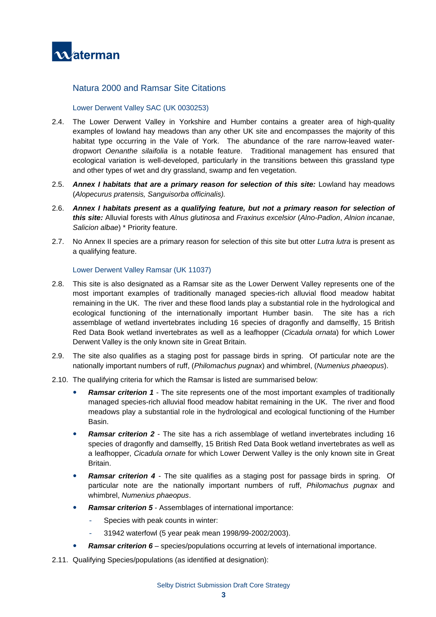

#### Natura 2000 and Ramsar Site Citations

#### Lower Derwent Valley SAC (UK 0030253)

- 2.4. The Lower Derwent Valley in Yorkshire and Humber contains a greater area of high-quality examples of lowland hay meadows than any other UK site and encompasses the majority of this habitat type occurring in the Vale of York. The abundance of the rare narrow-leaved waterdropwort *Oenanthe silaifolia* is a notable feature. Traditional management has ensured that ecological variation is well-developed, particularly in the transitions between this grassland type and other types of wet and dry grassland, swamp and fen vegetation.
- 2.5. *Annex I habitats that are a primary reason for selection of this site:* Lowland hay meadows (*Alopecurus pratensis, Sanguisorba officinalis).*
- 2.6. *Annex I habitats present as a qualifying feature, but not a primary reason for selection of this site:* Alluvial forests with *Alnus glutinosa* and *Fraxinus excelsior* (*Alno-Padion*, *Alnion incanae*, *Salicion albae*) \* Priority feature.
- 2.7. No Annex II species are a primary reason for selection of this site but otter *Lutra lutra* is present as a qualifying feature.

#### Lower Derwent Valley Ramsar (UK 11037)

- 2.8. This site is also designated as a Ramsar site as the Lower Derwent Valley represents one of the most important examples of traditionally managed species-rich alluvial flood meadow habitat remaining in the UK. The river and these flood lands play a substantial role in the hydrological and ecological functioning of the internationally important Humber basin. The site has a rich assemblage of wetland invertebrates including 16 species of dragonfly and damselfly, 15 British Red Data Book wetland invertebrates as well as a leafhopper (*Cicadula ornata*) for which Lower Derwent Valley is the only known site in Great Britain.
- 2.9. The site also qualifies as a staging post for passage birds in spring. Of particular note are the nationally important numbers of ruff, (*Philomachus pugnax*) and whimbrel, (*Numenius phaeopus*).
- 2.10. The qualifying criteria for which the Ramsar is listed are summarised below:
	- y *Ramsar criterion 1* The site represents one of the most important examples of traditionally managed species-rich alluvial flood meadow habitat remaining in the UK. The river and flood meadows play a substantial role in the hydrological and ecological functioning of the Humber Basin.
	- **Ramsar criterion 2** The site has a rich assemblage of wetland invertebrates including 16 species of dragonfly and damselfly, 15 British Red Data Book wetland invertebrates as well as a leafhopper, *Cicadula ornate* for which Lower Derwent Valley is the only known site in Great Britain.
	- **Ramsar criterion 4** The site qualifies as a staging post for passage birds in spring. Of particular note are the nationally important numbers of ruff, *Philomachus pugnax* and whimbrel, *Numenius phaeopus*.
	- **Ramsar criterion 5** Assemblages of international importance:
		- Species with peak counts in winter:
		- 31942 waterfowl (5 year peak mean 1998/99-2002/2003).
	- **Ramsar criterion 6** species/populations occurring at levels of international importance.
- 2.11. Qualifying Species/populations (as identified at designation):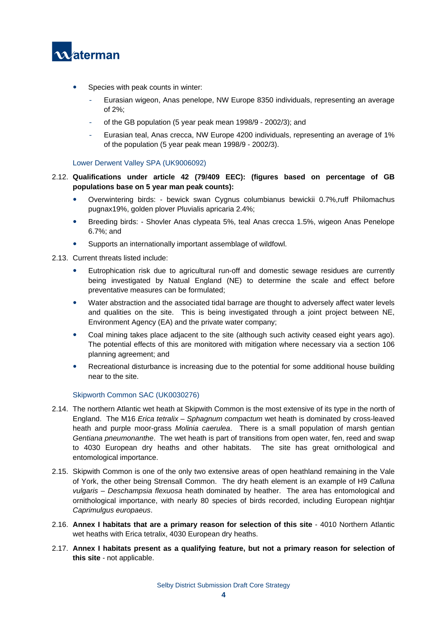

- Species with peak counts in winter:
	- Eurasian wigeon, Anas penelope, NW Europe 8350 individuals, representing an average of 2%;
	- of the GB population (5 year peak mean 1998/9 2002/3); and
	- Eurasian teal, Anas crecca, NW Europe 4200 individuals, representing an average of 1% of the population (5 year peak mean 1998/9 - 2002/3).

#### Lower Derwent Valley SPA (UK9006092)

- 2.12. **Qualifications under article 42 (79/409 EEC): (figures based on percentage of GB populations base on 5 year man peak counts):** 
	- Overwintering birds: bewick swan Cygnus columbianus bewickii 0.7%,ruff Philomachus pugnax19%, golden plover Pluvialis apricaria 2.4%;
	- y Breeding birds: Shovler Anas clypeata 5%, teal Anas crecca 1.5%, wigeon Anas Penelope 6.7%; and
	- Supports an internationally important assemblage of wildfowl.

2.13. Current threats listed include:

- Eutrophication risk due to agricultural run-off and domestic sewage residues are currently being investigated by Natual England (NE) to determine the scale and effect before preventative measures can be formulated;
- Water abstraction and the associated tidal barrage are thought to adversely affect water levels and qualities on the site. This is being investigated through a joint project between NE, Environment Agency (EA) and the private water company;
- Coal mining takes place adjacent to the site (although such activity ceased eight years ago). The potential effects of this are monitored with mitigation where necessary via a section 106 planning agreement; and
- Recreational disturbance is increasing due to the potential for some additional house building near to the site.

#### Skipworth Common SAC (UK0030276)

- 2.14. The northern Atlantic wet heath at Skipwith Common is the most extensive of its type in the north of England. The M16 *Erica tetralix* – *Sphagnum compactum* wet heath is dominated by cross-leaved heath and purple moor-grass *Molinia caerulea*. There is a small population of marsh gentian *Gentiana pneumonanthe*. The wet heath is part of transitions from open water, fen, reed and swap to 4030 European dry heaths and other habitats. The site has great ornithological and entomological importance.
- 2.15. Skipwith Common is one of the only two extensive areas of open heathland remaining in the Vale of York, the other being Strensall Common. The dry heath element is an example of H9 *Calluna vulgaris – Deschampsia flexuosa* heath dominated by heather. The area has entomological and ornithological importance, with nearly 80 species of birds recorded, including European nightjar *Caprimulgus europaeus*.
- 2.16. **Annex I habitats that are a primary reason for selection of this site** 4010 Northern Atlantic wet heaths with Erica tetralix, 4030 European dry heaths.
- 2.17. **Annex I habitats present as a qualifying feature, but not a primary reason for selection of this site** - not applicable.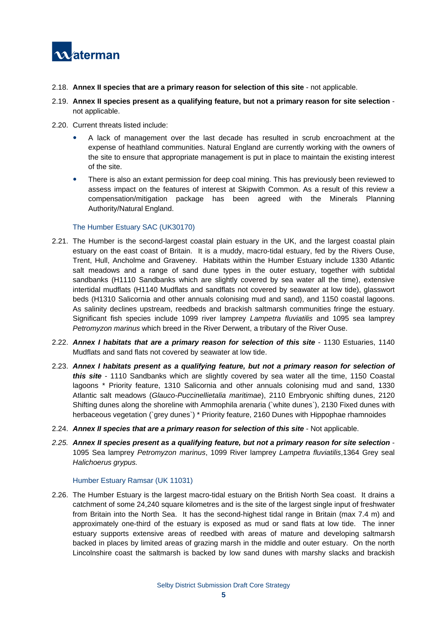

- 2.18. **Annex II species that are a primary reason for selection of this site** not applicable.
- 2.19. **Annex II species present as a qualifying feature, but not a primary reason for site selection** not applicable.
- 2.20. Current threats listed include:
	- A lack of management over the last decade has resulted in scrub encroachment at the expense of heathland communities. Natural England are currently working with the owners of the site to ensure that appropriate management is put in place to maintain the existing interest of the site.
	- There is also an extant permission for deep coal mining. This has previously been reviewed to assess impact on the features of interest at Skipwith Common. As a result of this review a compensation/mitigation package has been agreed with the Minerals Planning Authority/Natural England.

#### The Humber Estuary SAC (UK30170)

- 2.21. The Humber is the second-largest coastal plain estuary in the UK, and the largest coastal plain estuary on the east coast of Britain. It is a muddy, macro-tidal estuary, fed by the Rivers Ouse, Trent, Hull, Ancholme and Graveney. Habitats within the Humber Estuary include 1330 Atlantic salt meadows and a range of sand dune types in the outer estuary, together with subtidal sandbanks (H1110 Sandbanks which are slightly covered by sea water all the time), extensive intertidal mudflats (H1140 Mudflats and sandflats not covered by seawater at low tide), glasswort beds (H1310 Salicornia and other annuals colonising mud and sand), and 1150 coastal lagoons. As salinity declines upstream, reedbeds and brackish saltmarsh communities fringe the estuary. Significant fish species include 1099 river lamprey *Lampetra fluviatilis* and 1095 sea lamprey *Petromyzon marinus* which breed in the River Derwent, a tributary of the River Ouse.
- 2.22. *Annex I habitats that are a primary reason for selection of this site* 1130 Estuaries, 1140 Mudflats and sand flats not covered by seawater at low tide.
- 2.23. *Annex I habitats present as a qualifying feature, but not a primary reason for selection of this site* - 1110 Sandbanks which are slightly covered by sea water all the time, 1150 Coastal lagoons \* Priority feature, 1310 Salicornia and other annuals colonising mud and sand, 1330 Atlantic salt meadows (*Glauco-Puccinellietalia maritimae*), 2110 Embryonic shifting dunes, 2120 Shifting dunes along the shoreline with Ammophila arenaria (`white dunes`), 2130 Fixed dunes with herbaceous vegetation (`grey dunes`) \* Priority feature, 2160 Dunes with Hippophae rhamnoides
- 2.24. *Annex II species that are a primary reason for selection of this site* Not applicable.
- *2.25. Annex II species present as a qualifying feature, but not a primary reason for site selection*  1095 Sea lamprey *Petromyzon marinus*, 1099 River lamprey *Lampetra fluviatilis*,1364 Grey seal *Halichoerus grypus.*

#### Humber Estuary Ramsar (UK 11031)

2.26. The Humber Estuary is the largest macro-tidal estuary on the British North Sea coast. It drains a catchment of some 24,240 square kilometres and is the site of the largest single input of freshwater from Britain into the North Sea. It has the second-highest tidal range in Britain (max 7.4 m) and approximately one-third of the estuary is exposed as mud or sand flats at low tide. The inner estuary supports extensive areas of reedbed with areas of mature and developing saltmarsh backed in places by limited areas of grazing marsh in the middle and outer estuary. On the north Lincolnshire coast the saltmarsh is backed by low sand dunes with marshy slacks and brackish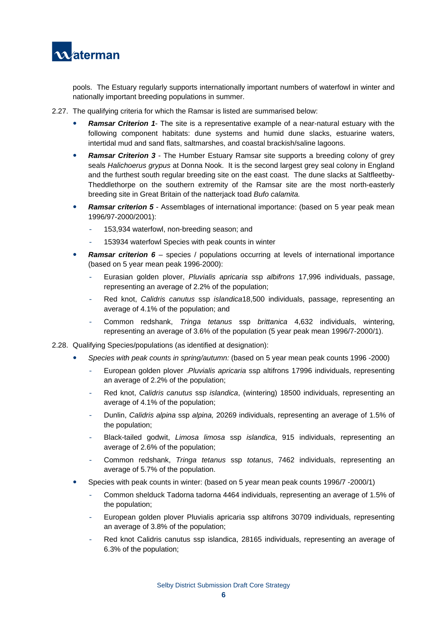

pools. The Estuary regularly supports internationally important numbers of waterfowl in winter and nationally important breeding populations in summer.

- 2.27. The qualifying criteria for which the Ramsar is listed are summarised below:
	- **Ramsar Criterion 1-** The site is a representative example of a near-natural estuary with the following component habitats: dune systems and humid dune slacks, estuarine waters, intertidal mud and sand flats, saltmarshes, and coastal brackish/saline lagoons.
	- **Ramsar Criterion 3** The Humber Estuary Ramsar site supports a breeding colony of grey seals *Halichoerus grypus* at Donna Nook. It is the second largest grey seal colony in England and the furthest south regular breeding site on the east coast. The dune slacks at Saltfleetby-Theddlethorpe on the southern extremity of the Ramsar site are the most north-easterly breeding site in Great Britain of the natterjack toad *Bufo calamita.*
	- **Ramsar criterion 5** Assemblages of international importance: (based on 5 year peak mean 1996/97-2000/2001):
		- 153,934 waterfowl, non-breeding season; and
		- 153934 waterfowl Species with peak counts in winter
	- **Ramsar criterion 6** species / populations occurring at levels of international importance (based on 5 year mean peak 1996-2000):
		- Eurasian golden plover, *Pluvialis apricaria* ssp *albifrons* 17,996 individuals, passage, representing an average of 2.2% of the population;
		- Red knot, *Calidris canutus* ssp *islandica*18,500 individuals, passage, representing an average of 4.1% of the population; and
		- Common redshank, *Tringa tetanus* ssp *brittanica* 4,632 individuals, wintering, representing an average of 3.6% of the population (5 year peak mean 1996/7-2000/1).
- 2.28. Qualifying Species/populations (as identified at designation):
	- y *Species with peak counts in spring/autumn:* (based on 5 year mean peak counts 1996 -2000)
		- European golden plover .*Pluvialis apricaria* ssp altifrons 17996 individuals, representing an average of 2.2% of the population;
		- Red knot, *Calidris canutus* ssp *islandica*, (wintering) 18500 individuals, representing an average of 4.1% of the population;
		- Dunlin, *Calidris alpina* ssp *alpina,* 20269 individuals, representing an average of 1.5% of the population;
		- Black-tailed godwit, *Limosa limosa* ssp *islandica*, 915 individuals, representing an average of 2.6% of the population;
		- Common redshank, *Tringa tetanus* ssp *totanus*, 7462 individuals, representing an average of 5.7% of the population.
	- Species with peak counts in winter: (based on 5 year mean peak counts 1996/7 -2000/1)
		- Common shelduck Tadorna tadorna 4464 individuals, representing an average of 1.5% of the population;
		- European golden plover Pluvialis apricaria ssp altifrons 30709 individuals, representing an average of 3.8% of the population;
		- Red knot Calidris canutus ssp islandica, 28165 individuals, representing an average of 6.3% of the population;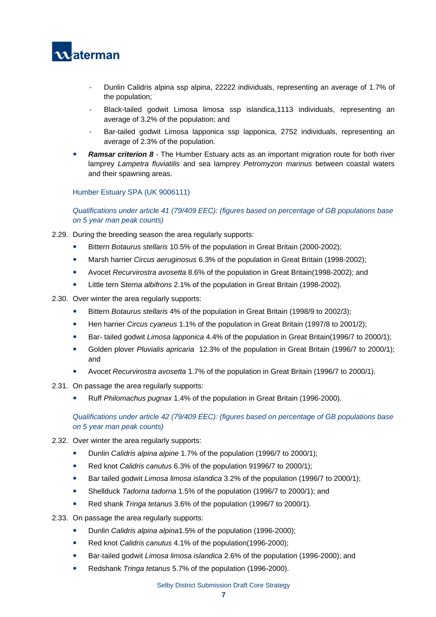

- Dunlin Calidris alpina ssp alpina, 22222 individuals, representing an average of 1.7% of the population;
- Black-tailed godwit Limosa limosa ssp islandica,1113 individuals, representing an average of 3.2% of the population; and
- Bar-tailed godwit Limosa lapponica ssp lapponica, 2752 individuals, representing an average of 2.3% of the population.
- **Ramsar criterion 8** The Humber Estuary acts as an important migration route for both river lamprey *Lampetra fluviatilis* and sea lamprey *Petromyzon marinus* between coastal waters and their spawning areas.

#### Humber Estuary SPA (UK 9006111)

*Qualifications under article 41 (79/409 EEC): (figures based on percentage of GB populations base on 5 year man peak counts)* 

- 2.29. During the breeding season the area regularly supports:
	- y Bittern *Botaurus stellaris* 10.5% of the population in Great Britain (2000-2002);
	- y Marsh harrier *Circus aeruginosus* 6.3% of the population in Great Britain (1998-2002);
	- y Avocet *Recurvirostra avosetta* 8.6% of the population in Great Britain(1998-2002); and
	- y Little tern *Sterna albifrons* 2.1% of the population in Great Britain (1998-2002).
- 2.30. Over winter the area regularly supports:
	- y Bittern *Botaurus stellaris* 4% of the population in Great Britain (1998/9 to 2002/3);
	- y Hen harrier *Circus cyaneus* 1.1% of the population in Great Britain (1997/8 to 2001/2);
	- y Bar- tailed godwit *Limosa lapponica* 4.4% of the population in Great Britain(1996/7 to 2000/1);
	- y Golden plover *Pluvialis apricaria* 12.3% of the population in Great Britain (1996/7 to 2000/1); and
	- y Avocet *Recurvirostra avosetta* 1.7% of the population in Great Britain (1996/7 to 2000/1).
- 2.31. On passage the area regularly supports:
	- y Ruff *Philomachus pugnax* 1.4% of the population in Great Britain (1996-2000).

*Qualifications under article 42 (79/409 EEC): (figures based on percentage of GB populations base on 5 year man peak counts)* 

- 2.32. Over winter the area regularly supports:
	- y Dunlin *Calidris alpina alpine* 1.7% of the population (1996/7 to 2000/1);
	- y Red knot *Calidris canutus* 6.3% of the population 91996/7 to 2000/1);
	- y Bar tailed godwit *Limosa limosa islandica* 3.2% of the population (1996/7 to 2000/1);
	- Shellduck *Tadorna tadorna* 1.5% of the population (1996/7 to 2000/1); and
	- y Red shank *Tringa tetanus* 3.6% of the population (1996/7 to 2000/1).
- 2.33. On passage the area regularly supports:
	- y Dunlin *Calidris alpina alpina*1.5% of the population (1996-2000);
	- y Red knot *Calidris canutus* 4.1% of the population(1996-2000);
	- Bar-tailed godwit *Limosa limosa islandica* 2.6% of the population (1996-2000); and
	- y Redshank *Tringa tetanus* 5.7% of the population (1996-2000).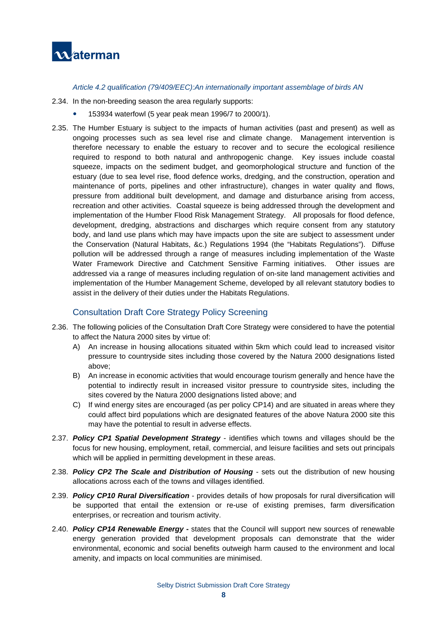

*Article 4.2 qualification (79/409/EEC):An internationally important assemblage of birds AN* 

- 2.34. In the non-breeding season the area regularly supports:
	- 153934 waterfowl (5 year peak mean 1996/7 to 2000/1).
- 2.35. The Humber Estuary is subject to the impacts of human activities (past and present) as well as ongoing processes such as sea level rise and climate change. Management intervention is therefore necessary to enable the estuary to recover and to secure the ecological resilience required to respond to both natural and anthropogenic change. Key issues include coastal squeeze, impacts on the sediment budget, and geomorphological structure and function of the estuary (due to sea level rise, flood defence works, dredging, and the construction, operation and maintenance of ports, pipelines and other infrastructure), changes in water quality and flows, pressure from additional built development, and damage and disturbance arising from access, recreation and other activities. Coastal squeeze is being addressed through the development and implementation of the Humber Flood Risk Management Strategy. All proposals for flood defence, development, dredging, abstractions and discharges which require consent from any statutory body, and land use plans which may have impacts upon the site are subject to assessment under the Conservation (Natural Habitats, &c.) Regulations 1994 (the "Habitats Regulations"). Diffuse pollution will be addressed through a range of measures including implementation of the Waste Water Framework Directive and Catchment Sensitive Farming initiatives. Other issues are addressed via a range of measures including regulation of on-site land management activities and implementation of the Humber Management Scheme, developed by all relevant statutory bodies to assist in the delivery of their duties under the Habitats Regulations.

#### Consultation Draft Core Strategy Policy Screening

- 2.36. The following policies of the Consultation Draft Core Strategy were considered to have the potential to affect the Natura 2000 sites by virtue of:
	- A) An increase in housing allocations situated within 5km which could lead to increased visitor pressure to countryside sites including those covered by the Natura 2000 designations listed above;
	- B) An increase in economic activities that would encourage tourism generally and hence have the potential to indirectly result in increased visitor pressure to countryside sites, including the sites covered by the Natura 2000 designations listed above; and
	- C) If wind energy sites are encouraged (as per policy CP14) and are situated in areas where they could affect bird populations which are designated features of the above Natura 2000 site this may have the potential to result in adverse effects.
- 2.37. *Policy CP1 Spatial Development Strategy*  identifies which towns and villages should be the focus for new housing, employment, retail, commercial, and leisure facilities and sets out principals which will be applied in permitting development in these areas.
- 2.38. *Policy CP2 The Scale and Distribution of Housing* sets out the distribution of new housing allocations across each of the towns and villages identified.
- 2.39. *Policy CP10 Rural Diversification* provides details of how proposals for rural diversification will be supported that entail the extension or re-use of existing premises, farm diversification enterprises, or recreation and tourism activity.
- 2.40. *Policy CP14 Renewable Energy*states that the Council will support new sources of renewable energy generation provided that development proposals can demonstrate that the wider environmental, economic and social benefits outweigh harm caused to the environment and local amenity, and impacts on local communities are minimised.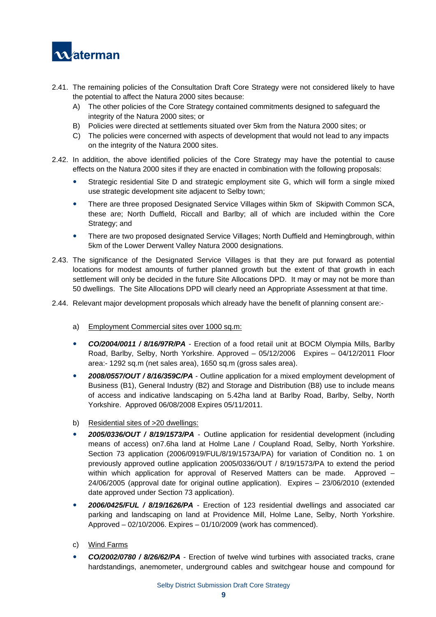

- 2.41. The remaining policies of the Consultation Draft Core Strategy were not considered likely to have the potential to affect the Natura 2000 sites because:
	- A) The other policies of the Core Strategy contained commitments designed to safeguard the integrity of the Natura 2000 sites; or
	- B) Policies were directed at settlements situated over 5km from the Natura 2000 sites; or
	- C) The policies were concerned with aspects of development that would not lead to any impacts on the integrity of the Natura 2000 sites.
- 2.42. In addition, the above identified policies of the Core Strategy may have the potential to cause effects on the Natura 2000 sites if they are enacted in combination with the following proposals:
	- Strategic residential Site D and strategic employment site G, which will form a single mixed use strategic development site adjacent to Selby town;
	- There are three proposed Designated Service Villages within 5km of Skipwith Common SCA, these are; North Duffield, Riccall and Barlby; all of which are included within the Core Strategy; and
	- There are two proposed designated Service Villages; North Duffield and Hemingbrough, within 5km of the Lower Derwent Valley Natura 2000 designations.
- 2.43. The significance of the Designated Service Villages is that they are put forward as potential locations for modest amounts of further planned growth but the extent of that growth in each settlement will only be decided in the future Site Allocations DPD. It may or may not be more than 50 dwellings. The Site Allocations DPD will clearly need an Appropriate Assessment at that time.
- 2.44. Relevant major development proposals which already have the benefit of planning consent are:
	- a) Employment Commercial sites over 1000 sq.m:
	- **CO/2004/0011 / 8/16/97R/PA** Erection of a food retail unit at BOCM Olympia Mills, Barlby Road, Barlby, Selby, North Yorkshire. Approved – 05/12/2006 Expires – 04/12/2011 Floor area:- 1292 sq.m (net sales area), 1650 sq.m (gross sales area).
	- 2008/0557/OUT / 8/16/359C/PA Outline application for a mixed employment development of Business (B1), General Industry (B2) and Storage and Distribution (B8) use to include means of access and indicative landscaping on 5.42ha land at Barlby Road, Barlby, Selby, North Yorkshire. Approved 06/08/2008 Expires 05/11/2011.
	- b) Residential sites of >20 dwellings:
	- y *2005/0336/OUT / 8/19/1573/PA* Outline application for residential development (including means of access) on7.6ha land at Holme Lane / Coupland Road, Selby, North Yorkshire. Section 73 application (2006/0919/FUL/8/19/1573A/PA) for variation of Condition no. 1 on previously approved outline application 2005/0336/OUT / 8/19/1573/PA to extend the period within which application for approval of Reserved Matters can be made. Approved – 24/06/2005 (approval date for original outline application). Expires – 23/06/2010 (extended date approved under Section 73 application).
	- y *2006/0425/FUL / 8/19/1626/PA* Erection of 123 residential dwellings and associated car parking and landscaping on land at Providence Mill, Holme Lane, Selby, North Yorkshire. Approved – 02/10/2006. Expires – 01/10/2009 (work has commenced).
	- c) Wind Farms
	- y *CO/2002/0780 / 8/26/62/PA* Erection of twelve wind turbines with associated tracks, crane hardstandings, anemometer, underground cables and switchgear house and compound for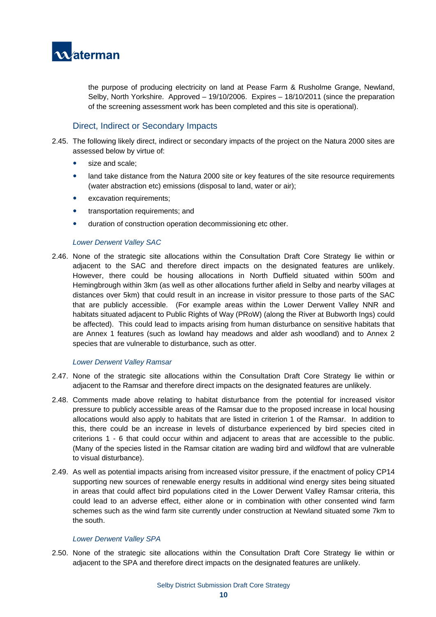

the purpose of producing electricity on land at Pease Farm & Rusholme Grange, Newland, Selby, North Yorkshire. Approved – 19/10/2006. Expires – 18/10/2011 (since the preparation of the screening assessment work has been completed and this site is operational).

#### Direct, Indirect or Secondary Impacts

- 2.45. The following likely direct, indirect or secondary impacts of the project on the Natura 2000 sites are assessed below by virtue of:
	- size and scale:
	- land take distance from the Natura 2000 site or key features of the site resource requirements (water abstraction etc) emissions (disposal to land, water or air);
	- excavation requirements;
	- transportation requirements; and
	- duration of construction operation decommissioning etc other.

#### *Lower Derwent Valley SAC*

2.46. None of the strategic site allocations within the Consultation Draft Core Strategy lie within or adjacent to the SAC and therefore direct impacts on the designated features are unlikely. However, there could be housing allocations in North Duffield situated within 500m and Hemingbrough within 3km (as well as other allocations further afield in Selby and nearby villages at distances over 5km) that could result in an increase in visitor pressure to those parts of the SAC that are publicly accessible. (For example areas within the Lower Derwent Valley NNR and habitats situated adjacent to Public Rights of Way (PRoW) (along the River at Bubworth Ings) could be affected). This could lead to impacts arising from human disturbance on sensitive habitats that are Annex 1 features (such as lowland hay meadows and alder ash woodland) and to Annex 2 species that are vulnerable to disturbance, such as otter.

#### *Lower Derwent Valley Ramsar*

- 2.47. None of the strategic site allocations within the Consultation Draft Core Strategy lie within or adjacent to the Ramsar and therefore direct impacts on the designated features are unlikely.
- 2.48. Comments made above relating to habitat disturbance from the potential for increased visitor pressure to publicly accessible areas of the Ramsar due to the proposed increase in local housing allocations would also apply to habitats that are listed in criterion 1 of the Ramsar. In addition to this, there could be an increase in levels of disturbance experienced by bird species cited in criterions 1 - 6 that could occur within and adjacent to areas that are accessible to the public. (Many of the species listed in the Ramsar citation are wading bird and wildfowl that are vulnerable to visual disturbance).
- 2.49. As well as potential impacts arising from increased visitor pressure, if the enactment of policy CP14 supporting new sources of renewable energy results in additional wind energy sites being situated in areas that could affect bird populations cited in the Lower Derwent Valley Ramsar criteria, this could lead to an adverse effect, either alone or in combination with other consented wind farm schemes such as the wind farm site currently under construction at Newland situated some 7km to the south.

#### *Lower Derwent Valley SPA*

2.50. None of the strategic site allocations within the Consultation Draft Core Strategy lie within or adjacent to the SPA and therefore direct impacts on the designated features are unlikely.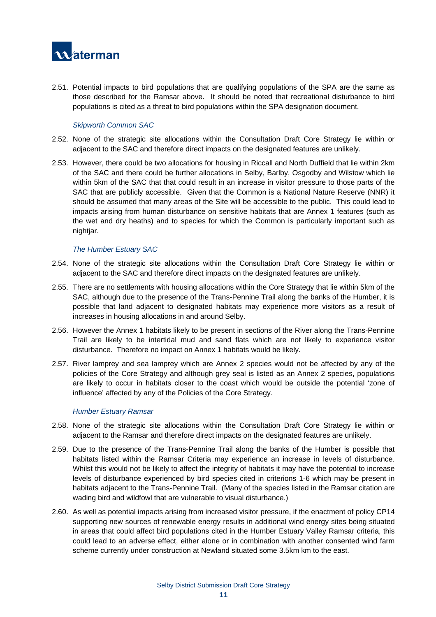

2.51. Potential impacts to bird populations that are qualifying populations of the SPA are the same as those described for the Ramsar above. It should be noted that recreational disturbance to bird populations is cited as a threat to bird populations within the SPA designation document.

#### *Skipworth Common SAC*

- 2.52. None of the strategic site allocations within the Consultation Draft Core Strategy lie within or adjacent to the SAC and therefore direct impacts on the designated features are unlikely.
- 2.53. However, there could be two allocations for housing in Riccall and North Duffield that lie within 2km of the SAC and there could be further allocations in Selby, Barlby, Osgodby and Wilstow which lie within 5km of the SAC that that could result in an increase in visitor pressure to those parts of the SAC that are publicly accessible. Given that the Common is a National Nature Reserve (NNR) it should be assumed that many areas of the Site will be accessible to the public. This could lead to impacts arising from human disturbance on sensitive habitats that are Annex 1 features (such as the wet and dry heaths) and to species for which the Common is particularly important such as nightjar.

#### *The Humber Estuary SAC*

- 2.54. None of the strategic site allocations within the Consultation Draft Core Strategy lie within or adjacent to the SAC and therefore direct impacts on the designated features are unlikely.
- 2.55. There are no settlements with housing allocations within the Core Strategy that lie within 5km of the SAC, although due to the presence of the Trans-Pennine Trail along the banks of the Humber, it is possible that land adjacent to designated habitats may experience more visitors as a result of increases in housing allocations in and around Selby.
- 2.56. However the Annex 1 habitats likely to be present in sections of the River along the Trans-Pennine Trail are likely to be intertidal mud and sand flats which are not likely to experience visitor disturbance. Therefore no impact on Annex 1 habitats would be likely.
- 2.57. River lamprey and sea lamprey which are Annex 2 species would not be affected by any of the policies of the Core Strategy and although grey seal is listed as an Annex 2 species, populations are likely to occur in habitats closer to the coast which would be outside the potential 'zone of influence' affected by any of the Policies of the Core Strategy.

#### *Humber Estuary Ramsar*

- 2.58. None of the strategic site allocations within the Consultation Draft Core Strategy lie within or adjacent to the Ramsar and therefore direct impacts on the designated features are unlikely.
- 2.59. Due to the presence of the Trans-Pennine Trail along the banks of the Humber is possible that habitats listed within the Ramsar Criteria may experience an increase in levels of disturbance. Whilst this would not be likely to affect the integrity of habitats it may have the potential to increase levels of disturbance experienced by bird species cited in criterions 1-6 which may be present in habitats adjacent to the Trans-Pennine Trail. (Many of the species listed in the Ramsar citation are wading bird and wildfowl that are vulnerable to visual disturbance.)
- 2.60. As well as potential impacts arising from increased visitor pressure, if the enactment of policy CP14 supporting new sources of renewable energy results in additional wind energy sites being situated in areas that could affect bird populations cited in the Humber Estuary Valley Ramsar criteria, this could lead to an adverse effect, either alone or in combination with another consented wind farm scheme currently under construction at Newland situated some 3.5km km to the east.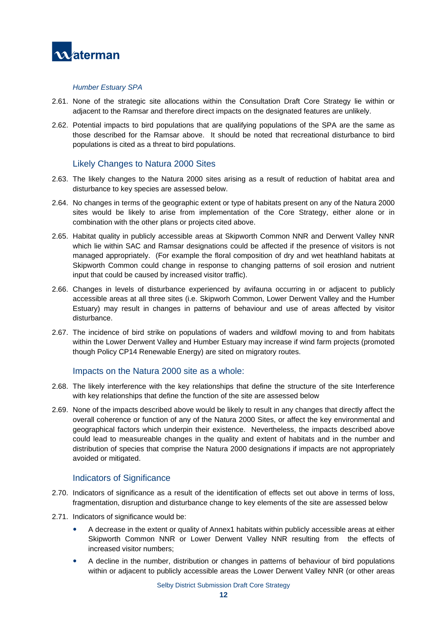

#### *Humber Estuary SPA*

- 2.61. None of the strategic site allocations within the Consultation Draft Core Strategy lie within or adjacent to the Ramsar and therefore direct impacts on the designated features are unlikely.
- 2.62. Potential impacts to bird populations that are qualifying populations of the SPA are the same as those described for the Ramsar above. It should be noted that recreational disturbance to bird populations is cited as a threat to bird populations.

#### Likely Changes to Natura 2000 Sites

- 2.63. The likely changes to the Natura 2000 sites arising as a result of reduction of habitat area and disturbance to key species are assessed below.
- 2.64. No changes in terms of the geographic extent or type of habitats present on any of the Natura 2000 sites would be likely to arise from implementation of the Core Strategy, either alone or in combination with the other plans or projects cited above.
- 2.65. Habitat quality in publicly accessible areas at Skipworth Common NNR and Derwent Valley NNR which lie within SAC and Ramsar designations could be affected if the presence of visitors is not managed appropriately. (For example the floral composition of dry and wet heathland habitats at Skipworth Common could change in response to changing patterns of soil erosion and nutrient input that could be caused by increased visitor traffic).
- 2.66. Changes in levels of disturbance experienced by avifauna occurring in or adjacent to publicly accessible areas at all three sites (i.e. Skipworh Common, Lower Derwent Valley and the Humber Estuary) may result in changes in patterns of behaviour and use of areas affected by visitor disturbance.
- 2.67. The incidence of bird strike on populations of waders and wildfowl moving to and from habitats within the Lower Derwent Valley and Humber Estuary may increase if wind farm projects (promoted though Policy CP14 Renewable Energy) are sited on migratory routes.

#### Impacts on the Natura 2000 site as a whole:

- 2.68. The likely interference with the key relationships that define the structure of the site Interference with key relationships that define the function of the site are assessed below
- 2.69. None of the impacts described above would be likely to result in any changes that directly affect the overall coherence or function of any of the Natura 2000 Sites, or affect the key environmental and geographical factors which underpin their existence. Nevertheless, the impacts described above could lead to measureable changes in the quality and extent of habitats and in the number and distribution of species that comprise the Natura 2000 designations if impacts are not appropriately avoided or mitigated.

#### Indicators of Significance

- 2.70. Indicators of significance as a result of the identification of effects set out above in terms of loss, fragmentation, disruption and disturbance change to key elements of the site are assessed below
- 2.71. Indicators of significance would be:
	- A decrease in the extent or quality of Annex1 habitats within publicly accessible areas at either Skipworth Common NNR or Lower Derwent Valley NNR resulting from the effects of increased visitor numbers;
	- A decline in the number, distribution or changes in patterns of behaviour of bird populations within or adjacent to publicly accessible areas the Lower Derwent Valley NNR (or other areas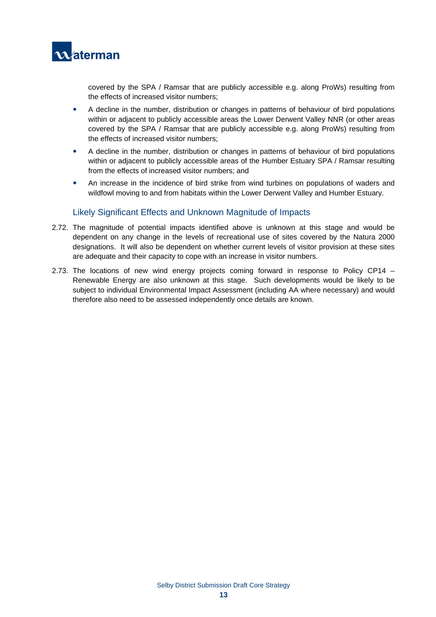

covered by the SPA / Ramsar that are publicly accessible e.g. along ProWs) resulting from the effects of increased visitor numbers;

- A decline in the number, distribution or changes in patterns of behaviour of bird populations within or adjacent to publicly accessible areas the Lower Derwent Valley NNR (or other areas covered by the SPA / Ramsar that are publicly accessible e.g. along ProWs) resulting from the effects of increased visitor numbers;
- A decline in the number, distribution or changes in patterns of behaviour of bird populations within or adjacent to publicly accessible areas of the Humber Estuary SPA / Ramsar resulting from the effects of increased visitor numbers; and
- An increase in the incidence of bird strike from wind turbines on populations of waders and wildfowl moving to and from habitats within the Lower Derwent Valley and Humber Estuary.

#### Likely Significant Effects and Unknown Magnitude of Impacts

- 2.72. The magnitude of potential impacts identified above is unknown at this stage and would be dependent on any change in the levels of recreational use of sites covered by the Natura 2000 designations. It will also be dependent on whether current levels of visitor provision at these sites are adequate and their capacity to cope with an increase in visitor numbers.
- 2.73. The locations of new wind energy projects coming forward in response to Policy CP14 Renewable Energy are also unknown at this stage. Such developments would be likely to be subject to individual Environmental Impact Assessment (including AA where necessary) and would therefore also need to be assessed independently once details are known.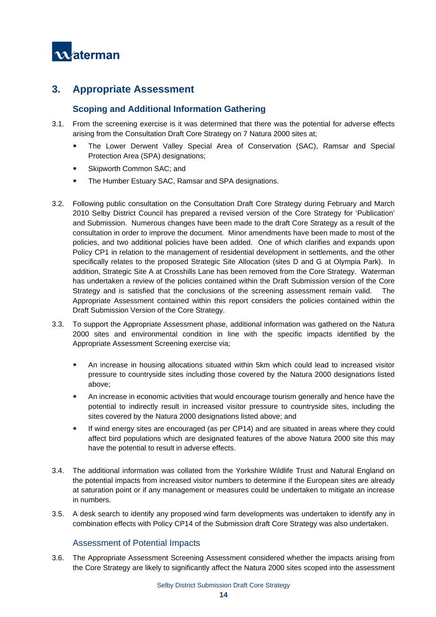

## **3. Appropriate Assessment**

### **Scoping and Additional Information Gathering**

- 3.1. From the screening exercise is it was determined that there was the potential for adverse effects arising from the Consultation Draft Core Strategy on 7 Natura 2000 sites at;
	- The Lower Derwent Valley Special Area of Conservation (SAC), Ramsar and Special Protection Area (SPA) designations;
	- Skipworth Common SAC; and
	- The Humber Estuary SAC, Ramsar and SPA designations.
- 3.2. Following public consultation on the Consultation Draft Core Strategy during February and March 2010 Selby District Council has prepared a revised version of the Core Strategy for 'Publication' and Submission. Numerous changes have been made to the draft Core Strategy as a result of the consultation in order to improve the document. Minor amendments have been made to most of the policies, and two additional policies have been added. One of which clarifies and expands upon Policy CP1 in relation to the management of residential development in settlements, and the other specifically relates to the proposed Strategic Site Allocation (sites D and G at Olympia Park). In addition, Strategic Site A at Crosshills Lane has been removed from the Core Strategy. Waterman has undertaken a review of the policies contained within the Draft Submission version of the Core Strategy and is satisfied that the conclusions of the screening assessment remain valid. The Appropriate Assessment contained within this report considers the policies contained within the Draft Submission Version of the Core Strategy.
- 3.3. To support the Appropriate Assessment phase, additional information was gathered on the Natura 2000 sites and environmental condition in line with the specific impacts identified by the Appropriate Assessment Screening exercise via;
	- An increase in housing allocations situated within 5km which could lead to increased visitor pressure to countryside sites including those covered by the Natura 2000 designations listed above;
	- An increase in economic activities that would encourage tourism generally and hence have the potential to indirectly result in increased visitor pressure to countryside sites, including the sites covered by the Natura 2000 designations listed above; and
	- If wind energy sites are encouraged (as per CP14) and are situated in areas where they could affect bird populations which are designated features of the above Natura 2000 site this may have the potential to result in adverse effects.
- 3.4. The additional information was collated from the Yorkshire Wildlife Trust and Natural England on the potential impacts from increased visitor numbers to determine if the European sites are already at saturation point or if any management or measures could be undertaken to mitigate an increase in numbers.
- 3.5. A desk search to identify any proposed wind farm developments was undertaken to identify any in combination effects with Policy CP14 of the Submission draft Core Strategy was also undertaken.

#### Assessment of Potential Impacts

3.6. The Appropriate Assessment Screening Assessment considered whether the impacts arising from the Core Strategy are likely to significantly affect the Natura 2000 sites scoped into the assessment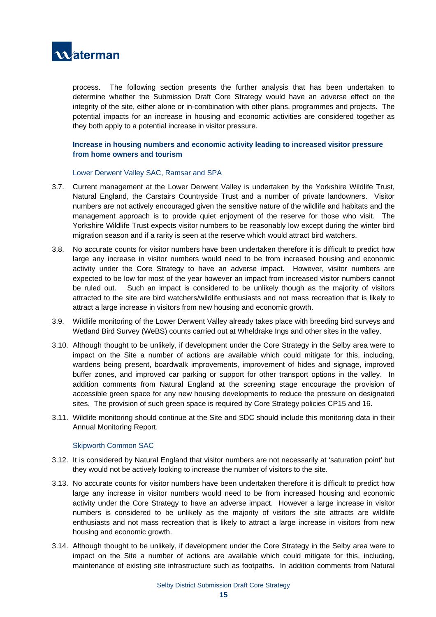

process. The following section presents the further analysis that has been undertaken to determine whether the Submission Draft Core Strategy would have an adverse effect on the integrity of the site, either alone or in-combination with other plans, programmes and projects. The potential impacts for an increase in housing and economic activities are considered together as they both apply to a potential increase in visitor pressure.

#### **Increase in housing numbers and economic activity leading to increased visitor pressure from home owners and tourism**

#### Lower Derwent Valley SAC, Ramsar and SPA

- 3.7. Current management at the Lower Derwent Valley is undertaken by the Yorkshire Wildlife Trust, Natural England, the Carstairs Countryside Trust and a number of private landowners. Visitor numbers are not actively encouraged given the sensitive nature of the wildlife and habitats and the management approach is to provide quiet enjoyment of the reserve for those who visit. The Yorkshire Wildlife Trust expects visitor numbers to be reasonably low except during the winter bird migration season and if a rarity is seen at the reserve which would attract bird watchers.
- 3.8. No accurate counts for visitor numbers have been undertaken therefore it is difficult to predict how large any increase in visitor numbers would need to be from increased housing and economic activity under the Core Strategy to have an adverse impact. However, visitor numbers are expected to be low for most of the year however an impact from increased visitor numbers cannot be ruled out. Such an impact is considered to be unlikely though as the majority of visitors attracted to the site are bird watchers/wildlife enthusiasts and not mass recreation that is likely to attract a large increase in visitors from new housing and economic growth.
- 3.9. Wildlife monitoring of the Lower Derwent Valley already takes place with breeding bird surveys and Wetland Bird Survey (WeBS) counts carried out at Wheldrake Ings and other sites in the valley.
- 3.10. Although thought to be unlikely, if development under the Core Strategy in the Selby area were to impact on the Site a number of actions are available which could mitigate for this, including, wardens being present, boardwalk improvements, improvement of hides and signage, improved buffer zones, and improved car parking or support for other transport options in the valley. In addition comments from Natural England at the screening stage encourage the provision of accessible green space for any new housing developments to reduce the pressure on designated sites. The provision of such green space is required by Core Strategy policies CP15 and 16.
- 3.11. Wildlife monitoring should continue at the Site and SDC should include this monitoring data in their Annual Monitoring Report.

#### Skipworth Common SAC

- 3.12. It is considered by Natural England that visitor numbers are not necessarily at 'saturation point' but they would not be actively looking to increase the number of visitors to the site.
- 3.13. No accurate counts for visitor numbers have been undertaken therefore it is difficult to predict how large any increase in visitor numbers would need to be from increased housing and economic activity under the Core Strategy to have an adverse impact. However a large increase in visitor numbers is considered to be unlikely as the majority of visitors the site attracts are wildlife enthusiasts and not mass recreation that is likely to attract a large increase in visitors from new housing and economic growth.
- 3.14. Although thought to be unlikely, if development under the Core Strategy in the Selby area were to impact on the Site a number of actions are available which could mitigate for this, including, maintenance of existing site infrastructure such as footpaths. In addition comments from Natural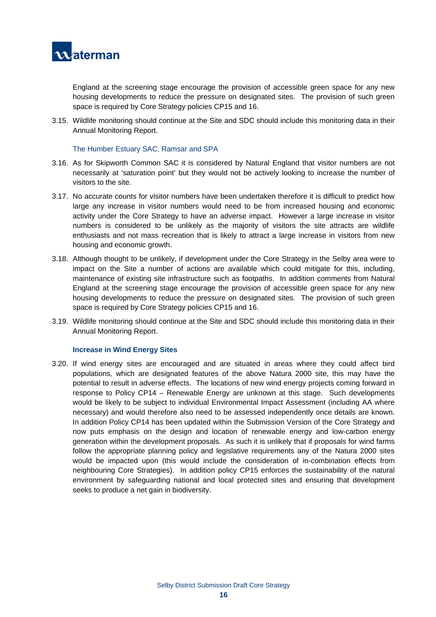

England at the screening stage encourage the provision of accessible green space for any new housing developments to reduce the pressure on designated sites. The provision of such green space is required by Core Strategy policies CP15 and 16.

3.15. Wildlife monitoring should continue at the Site and SDC should include this monitoring data in their Annual Monitoring Report.

#### The Humber Estuary SAC, Ramsar and SPA

- 3.16. As for Skipworth Common SAC it is considered by Natural England that visitor numbers are not necessarily at 'saturation point' but they would not be actively looking to increase the number of visitors to the site.
- 3.17. No accurate counts for visitor numbers have been undertaken therefore it is difficult to predict how large any increase in visitor numbers would need to be from increased housing and economic activity under the Core Strategy to have an adverse impact. However a large increase in visitor numbers is considered to be unlikely as the majority of visitors the site attracts are wildlife enthusiasts and not mass recreation that is likely to attract a large increase in visitors from new housing and economic growth.
- 3.18. Although thought to be unlikely, if development under the Core Strategy in the Selby area were to impact on the Site a number of actions are available which could mitigate for this, including, maintenance of existing site infrastructure such as footpaths. In addition comments from Natural England at the screening stage encourage the provision of accessible green space for any new housing developments to reduce the pressure on designated sites. The provision of such green space is required by Core Strategy policies CP15 and 16.
- 3.19. Wildlife monitoring should continue at the Site and SDC should include this monitoring data in their Annual Monitoring Report.

#### **Increase in Wind Energy Sites**

3.20. If wind energy sites are encouraged and are situated in areas where they could affect bird populations, which are designated features of the above Natura 2000 site, this may have the potential to result in adverse effects. The locations of new wind energy projects coming forward in response to Policy CP14 – Renewable Energy are unknown at this stage. Such developments would be likely to be subject to individual Environmental Impact Assessment (including AA where necessary) and would therefore also need to be assessed independently once details are known. In addition Policy CP14 has been updated within the Submission Version of the Core Strategy and now puts emphasis on the design and location of renewable energy and low-carbon energy generation within the development proposals. As such it is unlikely that if proposals for wind farms follow the appropriate planning policy and legislative requirements any of the Natura 2000 sites would be impacted upon (this would include the consideration of in-combination effects from neighbouring Core Strategies). In addition policy CP15 enforces the sustainability of the natural environment by safeguarding national and local protected sites and ensuring that development seeks to produce a net gain in biodiversity.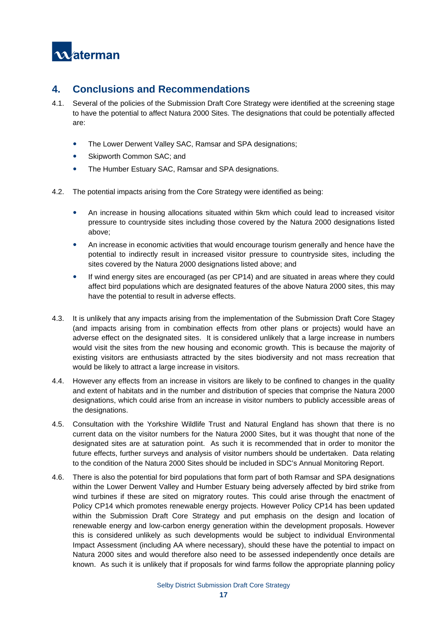

## **4. Conclusions and Recommendations**

- 4.1. Several of the policies of the Submission Draft Core Strategy were identified at the screening stage to have the potential to affect Natura 2000 Sites. The designations that could be potentially affected are:
	- The Lower Derwent Valley SAC, Ramsar and SPA designations;
	- Skipworth Common SAC; and
	- The Humber Estuary SAC, Ramsar and SPA designations.
- 4.2. The potential impacts arising from the Core Strategy were identified as being:
	- An increase in housing allocations situated within 5km which could lead to increased visitor pressure to countryside sites including those covered by the Natura 2000 designations listed above;
	- An increase in economic activities that would encourage tourism generally and hence have the potential to indirectly result in increased visitor pressure to countryside sites, including the sites covered by the Natura 2000 designations listed above; and
	- If wind energy sites are encouraged (as per CP14) and are situated in areas where they could affect bird populations which are designated features of the above Natura 2000 sites, this may have the potential to result in adverse effects.
- 4.3. It is unlikely that any impacts arising from the implementation of the Submission Draft Core Stagey (and impacts arising from in combination effects from other plans or projects) would have an adverse effect on the designated sites. It is considered unlikely that a large increase in numbers would visit the sites from the new housing and economic growth. This is because the majority of existing visitors are enthusiasts attracted by the sites biodiversity and not mass recreation that would be likely to attract a large increase in visitors.
- 4.4. However any effects from an increase in visitors are likely to be confined to changes in the quality and extent of habitats and in the number and distribution of species that comprise the Natura 2000 designations, which could arise from an increase in visitor numbers to publicly accessible areas of the designations.
- 4.5. Consultation with the Yorkshire Wildlife Trust and Natural England has shown that there is no current data on the visitor numbers for the Natura 2000 Sites, but it was thought that none of the designated sites are at saturation point. As such it is recommended that in order to monitor the future effects, further surveys and analysis of visitor numbers should be undertaken. Data relating to the condition of the Natura 2000 Sites should be included in SDC's Annual Monitoring Report.
- 4.6. There is also the potential for bird populations that form part of both Ramsar and SPA designations within the Lower Derwent Valley and Humber Estuary being adversely affected by bird strike from wind turbines if these are sited on migratory routes. This could arise through the enactment of Policy CP14 which promotes renewable energy projects. However Policy CP14 has been updated within the Submission Draft Core Strategy and put emphasis on the design and location of renewable energy and low-carbon energy generation within the development proposals. However this is considered unlikely as such developments would be subject to individual Environmental Impact Assessment (including AA where necessary), should these have the potential to impact on Natura 2000 sites and would therefore also need to be assessed independently once details are known. As such it is unlikely that if proposals for wind farms follow the appropriate planning policy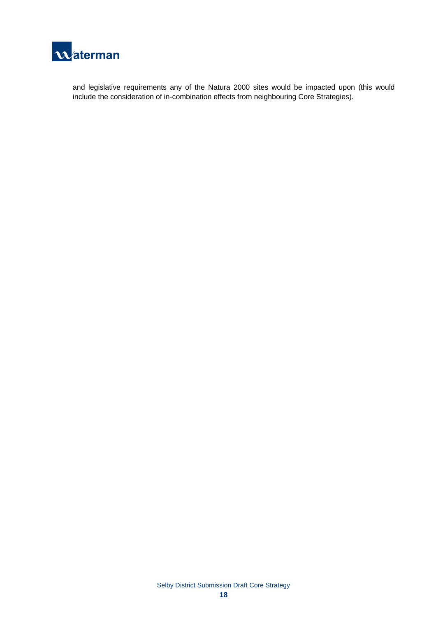

and legislative requirements any of the Natura 2000 sites would be impacted upon (this would include the consideration of in-combination effects from neighbouring Core Strategies).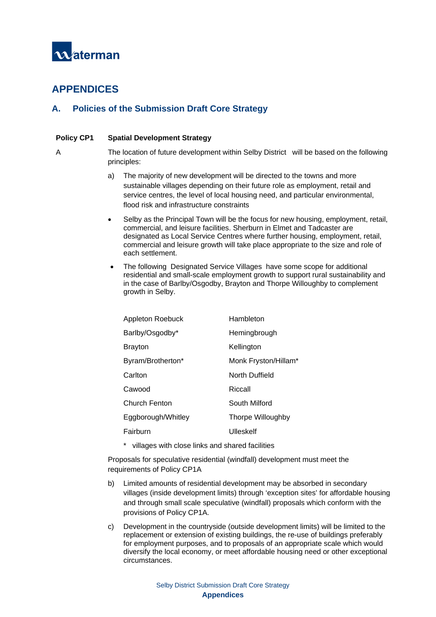

## **APPENDICES**

## **A. Policies of the Submission Draft Core Strategy**

#### **Policy CP1 Spatial Development Strategy**

A The location of future development within Selby District will be based on the following principles:

- a) The majority of new development will be directed to the towns and more sustainable villages depending on their future role as employment, retail and service centres, the level of local housing need, and particular environmental, flood risk and infrastructure constraints
- Selby as the Principal Town will be the focus for new housing, employment, retail, commercial, and leisure facilities. Sherburn in Elmet and Tadcaster are designated as Local Service Centres where further housing, employment, retail, commercial and leisure growth will take place appropriate to the size and role of each settlement.
- The following Designated Service Villages have some scope for additional residential and small-scale employment growth to support rural sustainability and in the case of Barlby/Osgodby, Brayton and Thorpe Willoughby to complement growth in Selby.

| Appleton Roebuck     | Hambleton            |  |  |
|----------------------|----------------------|--|--|
| Barlby/Osgodby*      | Hemingbrough         |  |  |
| <b>Brayton</b>       | Kellington           |  |  |
| Byram/Brotherton*    | Monk Fryston/Hillam* |  |  |
| Carlton              | North Duffield       |  |  |
| Cawood               | Riccall              |  |  |
| <b>Church Fenton</b> | South Milford        |  |  |
| Eggborough/Whitley   | Thorpe Willoughby    |  |  |
| Fairburn             | Ulleskelf            |  |  |
|                      |                      |  |  |

\* villages with close links and shared facilities

Proposals for speculative residential (windfall) development must meet the requirements of Policy CP1A

- b) Limited amounts of residential development may be absorbed in secondary villages (inside development limits) through 'exception sites' for affordable housing and through small scale speculative (windfall) proposals which conform with the provisions of Policy CP1A.
- c) Development in the countryside (outside development limits) will be limited to the replacement or extension of existing buildings, the re-use of buildings preferably for employment purposes, and to proposals of an appropriate scale which would diversify the local economy, or meet affordable housing need or other exceptional circumstances.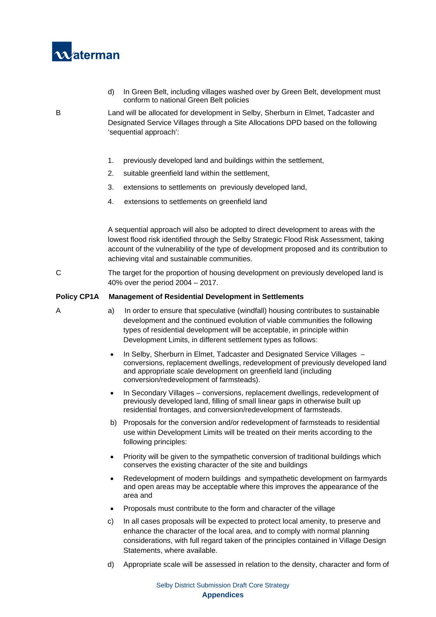

d) In Green Belt, including villages washed over by Green Belt, development must conform to national Green Belt policies

B Land will be allocated for development in Selby, Sherburn in Elmet, Tadcaster and Designated Service Villages through a Site Allocations DPD based on the following 'sequential approach':

- 1. previously developed land and buildings within the settlement,
- 2. suitable greenfield land within the settlement,
- 3. extensions to settlements on previously developed land,
- 4. extensions to settlements on greenfield land

A sequential approach will also be adopted to direct development to areas with the lowest flood risk identified through the Selby Strategic Flood Risk Assessment, taking account of the vulnerability of the type of development proposed and its contribution to achieving vital and sustainable communities.

C The target for the proportion of housing development on previously developed land is 40% over the period 2004 – 2017.

#### **Policy CP1A Management of Residential Development in Settlements**

- 
- A a) In order to ensure that speculative (windfall) housing contributes to sustainable development and the continued evolution of viable communities the following types of residential development will be acceptable, in principle within Development Limits, in different settlement types as follows:
	- In Selby, Sherburn in Elmet, Tadcaster and Designated Service Villages conversions, replacement dwellings, redevelopment of previously developed land and appropriate scale development on greenfield land (including conversion/redevelopment of farmsteads).
	- In Secondary Villages conversions, replacement dwellings, redevelopment of previously developed land, filling of small linear gaps in otherwise built up residential frontages, and conversion/redevelopment of farmsteads.
	- b) Proposals for the conversion and/or redevelopment of farmsteads to residential use within Development Limits will be treated on their merits according to the following principles:
	- Priority will be given to the sympathetic conversion of traditional buildings which conserves the existing character of the site and buildings
	- Redevelopment of modern buildings and sympathetic development on farmyards and open areas may be acceptable where this improves the appearance of the area and
	- Proposals must contribute to the form and character of the village
	- c) In all cases proposals will be expected to protect local amenity, to preserve and enhance the character of the local area, and to comply with normal planning considerations, with full regard taken of the principles contained in Village Design Statements, where available.
	- d) Appropriate scale will be assessed in relation to the density, character and form of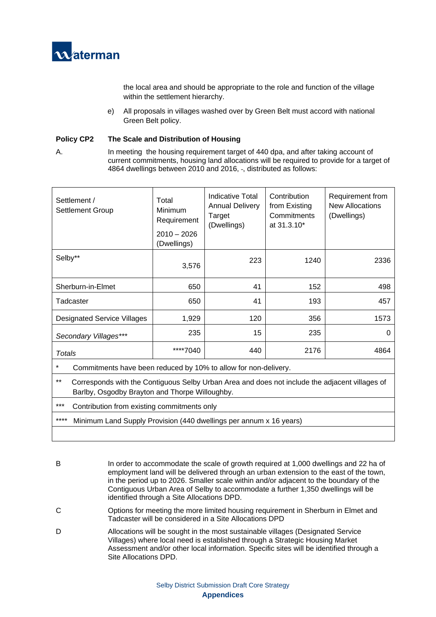

the local area and should be appropriate to the role and function of the village within the settlement hierarchy.

e) All proposals in villages washed over by Green Belt must accord with national Green Belt policy.

#### **Policy CP2 The Scale and Distribution of Housing**

A. In meeting the housing requirement target of 440 dpa, and after taking account of current commitments, housing land allocations will be required to provide for a target of 4864 dwellings between 2010 and 2016, -, distributed as follows:

| Settlement /<br><b>Settlement Group</b>                                                                                                                   | Total<br><b>Minimum</b><br>Requirement<br>$2010 - 2026$<br>(Dwellings) | Indicative Total<br><b>Annual Delivery</b><br>Target<br>(Dwellings) | Contribution<br>from Existing<br>Commitments<br>at 31.3.10* | Requirement from<br><b>New Allocations</b><br>(Dwellings) |  |
|-----------------------------------------------------------------------------------------------------------------------------------------------------------|------------------------------------------------------------------------|---------------------------------------------------------------------|-------------------------------------------------------------|-----------------------------------------------------------|--|
| Selby**                                                                                                                                                   | 3,576                                                                  | 223                                                                 | 1240                                                        | 2336                                                      |  |
| Sherburn-in-Elmet                                                                                                                                         | 650                                                                    | 41                                                                  | 152                                                         | 498                                                       |  |
| Tadcaster                                                                                                                                                 | 650                                                                    | 41                                                                  | 193                                                         | 457                                                       |  |
| <b>Designated Service Villages</b>                                                                                                                        | 1,929                                                                  | 120                                                                 | 356                                                         | 1573                                                      |  |
| Secondary Villages***                                                                                                                                     | 235                                                                    | 15                                                                  | 235                                                         | 0                                                         |  |
| Totals                                                                                                                                                    | ****7040                                                               | 440                                                                 | 2176                                                        | 4864                                                      |  |
| $\star$<br>Commitments have been reduced by 10% to allow for non-delivery.                                                                                |                                                                        |                                                                     |                                                             |                                                           |  |
| $***$<br>Corresponds with the Contiguous Selby Urban Area and does not include the adjacent villages of<br>Barlby, Osgodby Brayton and Thorpe Willoughby. |                                                                        |                                                                     |                                                             |                                                           |  |

- \*\*\* Contribution from existing commitments only
- \*\*\*\* Minimum Land Supply Provision (440 dwellings per annum x 16 years)
- B In order to accommodate the scale of growth required at 1,000 dwellings and 22 ha of employment land will be delivered through an urban extension to the east of the town, in the period up to 2026. Smaller scale within and/or adjacent to the boundary of the Contiguous Urban Area of Selby to accommodate a further 1,350 dwellings will be identified through a Site Allocations DPD.
- C Options for meeting the more limited housing requirement in Sherburn in Elmet and Tadcaster will be considered in a Site Allocations DPD
- D Allocations will be sought in the most sustainable villages (Designated Service Villages) where local need is established through a Strategic Housing Market Assessment and/or other local information. Specific sites will be identified through a Site Allocations DPD.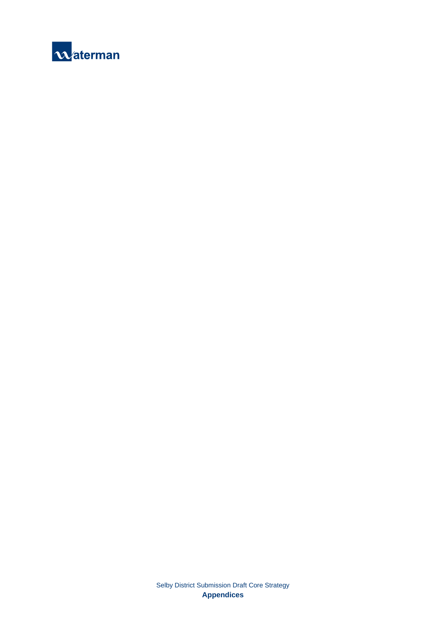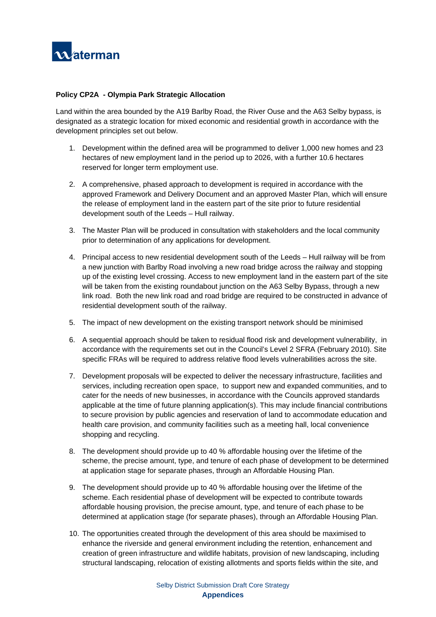

#### **Policy CP2A - Olympia Park Strategic Allocation**

Land within the area bounded by the A19 Barlby Road, the River Ouse and the A63 Selby bypass, is designated as a strategic location for mixed economic and residential growth in accordance with the development principles set out below.

- 1. Development within the defined area will be programmed to deliver 1,000 new homes and 23 hectares of new employment land in the period up to 2026, with a further 10.6 hectares reserved for longer term employment use.
- 2. A comprehensive, phased approach to development is required in accordance with the approved Framework and Delivery Document and an approved Master Plan, which will ensure the release of employment land in the eastern part of the site prior to future residential development south of the Leeds – Hull railway.
- 3. The Master Plan will be produced in consultation with stakeholders and the local community prior to determination of any applications for development.
- 4. Principal access to new residential development south of the Leeds Hull railway will be from a new junction with Barlby Road involving a new road bridge across the railway and stopping up of the existing level crossing. Access to new employment land in the eastern part of the site will be taken from the existing roundabout junction on the A63 Selby Bypass, through a new link road. Both the new link road and road bridge are required to be constructed in advance of residential development south of the railway.
- 5. The impact of new development on the existing transport network should be minimised
- 6. A sequential approach should be taken to residual flood risk and development vulnerability, in accordance with the requirements set out in the Council's Level 2 SFRA (February 2010). Site specific FRAs will be required to address relative flood levels vulnerabilities across the site.
- 7. Development proposals will be expected to deliver the necessary infrastructure, facilities and services, including recreation open space, to support new and expanded communities, and to cater for the needs of new businesses, in accordance with the Councils approved standards applicable at the time of future planning application(s). This may include financial contributions to secure provision by public agencies and reservation of land to accommodate education and health care provision, and community facilities such as a meeting hall, local convenience shopping and recycling.
- 8. The development should provide up to 40 % affordable housing over the lifetime of the scheme, the precise amount, type, and tenure of each phase of development to be determined at application stage for separate phases, through an Affordable Housing Plan.
- 9. The development should provide up to 40 % affordable housing over the lifetime of the scheme. Each residential phase of development will be expected to contribute towards affordable housing provision, the precise amount, type, and tenure of each phase to be determined at application stage (for separate phases), through an Affordable Housing Plan.
- 10. The opportunities created through the development of this area should be maximised to enhance the riverside and general environment including the retention, enhancement and creation of green infrastructure and wildlife habitats, provision of new landscaping, including structural landscaping, relocation of existing allotments and sports fields within the site, and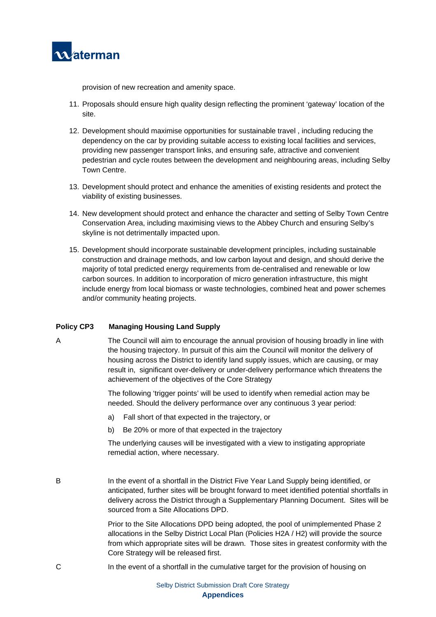

provision of new recreation and amenity space.

- 11. Proposals should ensure high quality design reflecting the prominent 'gateway' location of the site.
- 12. Development should maximise opportunities for sustainable travel , including reducing the dependency on the car by providing suitable access to existing local facilities and services, providing new passenger transport links, and ensuring safe, attractive and convenient pedestrian and cycle routes between the development and neighbouring areas, including Selby Town Centre.
- 13. Development should protect and enhance the amenities of existing residents and protect the viability of existing businesses.
- 14. New development should protect and enhance the character and setting of Selby Town Centre Conservation Area, including maximising views to the Abbey Church and ensuring Selby's skyline is not detrimentally impacted upon.
- 15. Development should incorporate sustainable development principles, including sustainable construction and drainage methods, and low carbon layout and design, and should derive the majority of total predicted energy requirements from de-centralised and renewable or low carbon sources. In addition to incorporation of micro generation infrastructure, this might include energy from local biomass or waste technologies, combined heat and power schemes and/or community heating projects.

#### **Policy CP3 Managing Housing Land Supply**

A The Council will aim to encourage the annual provision of housing broadly in line with the housing trajectory. In pursuit of this aim the Council will monitor the delivery of housing across the District to identify land supply issues, which are causing, or may result in, significant over-delivery or under-delivery performance which threatens the achievement of the objectives of the Core Strategy

> The following 'trigger points' will be used to identify when remedial action may be needed. Should the delivery performance over any continuous 3 year period:

- a) Fall short of that expected in the trajectory, or
- b) Be 20% or more of that expected in the trajectory

The underlying causes will be investigated with a view to instigating appropriate remedial action, where necessary.

B In the event of a shortfall in the District Five Year Land Supply being identified, or anticipated, further sites will be brought forward to meet identified potential shortfalls in delivery across the District through a Supplementary Planning Document. Sites will be sourced from a Site Allocations DPD.

> Prior to the Site Allocations DPD being adopted, the pool of unimplemented Phase 2 allocations in the Selby District Local Plan (Policies H2A / H2) will provide the source from which appropriate sites will be drawn. Those sites in greatest conformity with the Core Strategy will be released first.

C In the event of a shortfall in the cumulative target for the provision of housing on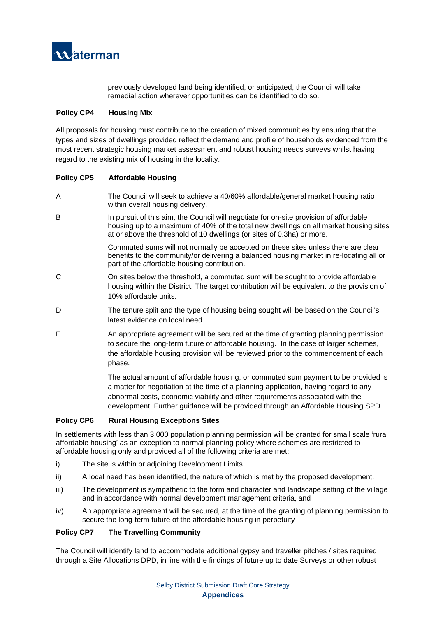

previously developed land being identified, or anticipated, the Council will take remedial action wherever opportunities can be identified to do so.

#### **Policy CP4 Housing Mix**

All proposals for housing must contribute to the creation of mixed communities by ensuring that the types and sizes of dwellings provided reflect the demand and profile of households evidenced from the most recent strategic housing market assessment and robust housing needs surveys whilst having regard to the existing mix of housing in the locality.

#### **Policy CP5 Affordable Housing**

- A The Council will seek to achieve a 40/60% affordable/general market housing ratio within overall housing delivery.
- B In pursuit of this aim, the Council will negotiate for on-site provision of affordable housing up to a maximum of 40% of the total new dwellings on all market housing sites at or above the threshold of 10 dwellings (or sites of 0.3ha) or more.

Commuted sums will not normally be accepted on these sites unless there are clear benefits to the community/or delivering a balanced housing market in re-locating all or part of the affordable housing contribution.

- C On sites below the threshold, a commuted sum will be sought to provide affordable housing within the District. The target contribution will be equivalent to the provision of 10% affordable units.
- D The tenure split and the type of housing being sought will be based on the Council's latest evidence on local need.
- E An appropriate agreement will be secured at the time of granting planning permission to secure the long-term future of affordable housing. In the case of larger schemes, the affordable housing provision will be reviewed prior to the commencement of each phase.

The actual amount of affordable housing, or commuted sum payment to be provided is a matter for negotiation at the time of a planning application, having regard to any abnormal costs, economic viability and other requirements associated with the development. Further guidance will be provided through an Affordable Housing SPD.

#### **Policy CP6 Rural Housing Exceptions Sites**

In settlements with less than 3,000 population planning permission will be granted for small scale 'rural affordable housing' as an exception to normal planning policy where schemes are restricted to affordable housing only and provided all of the following criteria are met:

- i) The site is within or adioining Development Limits
- ii) A local need has been identified, the nature of which is met by the proposed development.
- iii) The development is sympathetic to the form and character and landscape setting of the village and in accordance with normal development management criteria, and
- iv) An appropriate agreement will be secured, at the time of the granting of planning permission to secure the long-term future of the affordable housing in perpetuity

#### **Policy CP7 The Travelling Community**

The Council will identify land to accommodate additional gypsy and traveller pitches / sites required through a Site Allocations DPD, in line with the findings of future up to date Surveys or other robust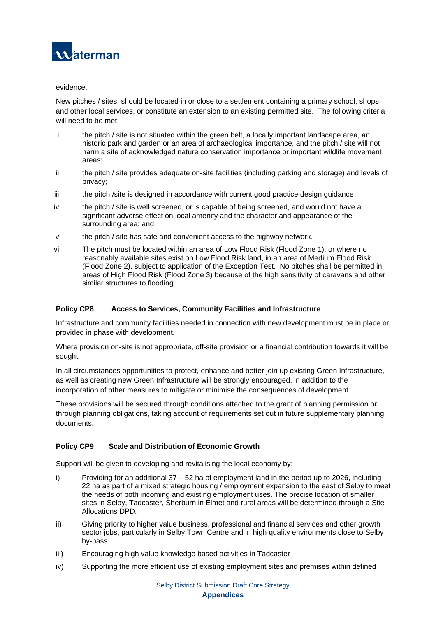

#### evidence.

New pitches / sites, should be located in or close to a settlement containing a primary school, shops and other local services, or constitute an extension to an existing permitted site. The following criteria will need to be met:

- i. the pitch / site is not situated within the green belt, a locally important landscape area, an historic park and garden or an area of archaeological importance, and the pitch / site will not harm a site of acknowledged nature conservation importance or important wildlife movement areas;
- ii. the pitch / site provides adequate on-site facilities (including parking and storage) and levels of privacy;
- iii. the pitch /site is designed in accordance with current good practice design guidance
- iv. the pitch / site is well screened, or is capable of being screened, and would not have a significant adverse effect on local amenity and the character and appearance of the surrounding area; and
- v. the pitch / site has safe and convenient access to the highway network.
- vi. The pitch must be located within an area of Low Flood Risk (Flood Zone 1), or where no reasonably available sites exist on Low Flood Risk land, in an area of Medium Flood Risk (Flood Zone 2), subject to application of the Exception Test. No pitches shall be permitted in areas of High Flood Risk (Flood Zone 3) because of the high sensitivity of caravans and other similar structures to flooding.

#### **Policy CP8 Access to Services, Community Facilities and Infrastructure**

Infrastructure and community facilities needed in connection with new development must be in place or provided in phase with development.

Where provision on-site is not appropriate, off-site provision or a financial contribution towards it will be sought.

In all circumstances opportunities to protect, enhance and better join up existing Green Infrastructure, as well as creating new Green Infrastructure will be strongly encouraged, in addition to the incorporation of other measures to mitigate or minimise the consequences of development.

These provisions will be secured through conditions attached to the grant of planning permission or through planning obligations, taking account of requirements set out in future supplementary planning documents.

#### **Policy CP9 Scale and Distribution of Economic Growth**

Support will be given to developing and revitalising the local economy by:

- i) Providing for an additional  $37 52$  ha of employment land in the period up to 2026, including 22 ha as part of a mixed strategic housing / employment expansion to the east of Selby to meet the needs of both incoming and existing employment uses. The precise location of smaller sites in Selby, Tadcaster, Sherburn in Elmet and rural areas will be determined through a Site Allocations DPD.
- ii) Giving priority to higher value business, professional and financial services and other growth sector jobs, particularly in Selby Town Centre and in high quality environments close to Selby by-pass
- iii) Encouraging high value knowledge based activities in Tadcaster
- iv) Supporting the more efficient use of existing employment sites and premises within defined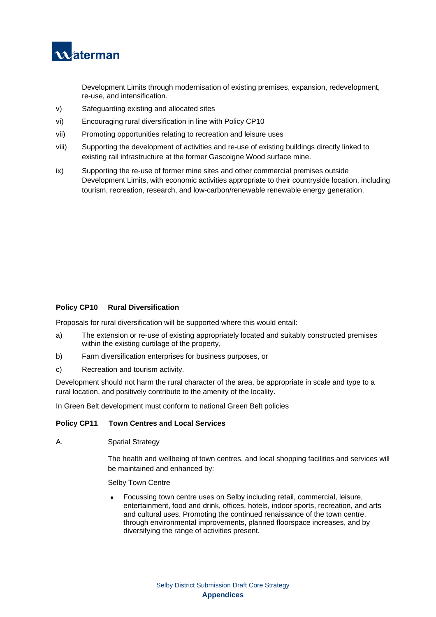

Development Limits through modernisation of existing premises, expansion, redevelopment, re-use, and intensification.

- v) Safeguarding existing and allocated sites
- vi) Encouraging rural diversification in line with Policy CP10
- vii) Promoting opportunities relating to recreation and leisure uses
- viii) Supporting the development of activities and re-use of existing buildings directly linked to existing rail infrastructure at the former Gascoigne Wood surface mine.
- ix) Supporting the re-use of former mine sites and other commercial premises outside Development Limits, with economic activities appropriate to their countryside location, including tourism, recreation, research, and low-carbon/renewable renewable energy generation.

#### **Policy CP10 Rural Diversification**

Proposals for rural diversification will be supported where this would entail:

- a) The extension or re-use of existing appropriately located and suitably constructed premises within the existing curtilage of the property,
- b) Farm diversification enterprises for business purposes, or
- c) Recreation and tourism activity.

Development should not harm the rural character of the area, be appropriate in scale and type to a rural location, and positively contribute to the amenity of the locality.

In Green Belt development must conform to national Green Belt policies

#### **Policy CP11 Town Centres and Local Services**

A. Spatial Strategy

The health and wellbeing of town centres, and local shopping facilities and services will be maintained and enhanced by:

Selby Town Centre

• Focussing town centre uses on Selby including retail, commercial, leisure, entertainment, food and drink, offices, hotels, indoor sports, recreation, and arts and cultural uses. Promoting the continued renaissance of the town centre. through environmental improvements, planned floorspace increases, and by diversifying the range of activities present.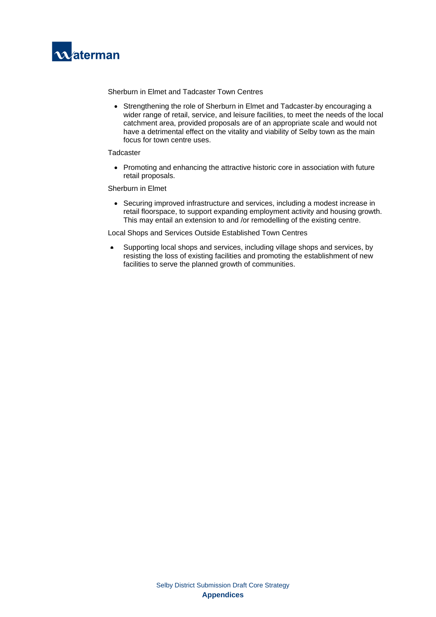

Sherburn in Elmet and Tadcaster Town Centres

• Strengthening the role of Sherburn in Elmet and Tadcaster by encouraging a wider range of retail, service, and leisure facilities, to meet the needs of the local catchment area, provided proposals are of an appropriate scale and would not have a detrimental effect on the vitality and viability of Selby town as the main focus for town centre uses.

#### **Tadcaster**

• Promoting and enhancing the attractive historic core in association with future retail proposals.

#### Sherburn in Elmet

• Securing improved infrastructure and services, including a modest increase in retail floorspace, to support expanding employment activity and housing growth. This may entail an extension to and /or remodelling of the existing centre.

Local Shops and Services Outside Established Town Centres

• Supporting local shops and services, including village shops and services, by resisting the loss of existing facilities and promoting the establishment of new facilities to serve the planned growth of communities.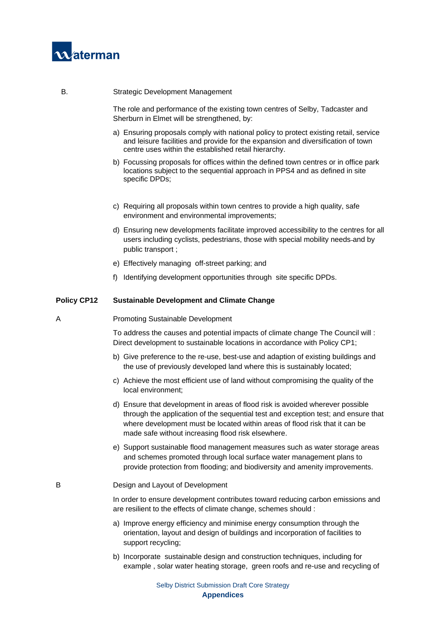

#### B. Strategic Development Management

The role and performance of the existing town centres of Selby, Tadcaster and Sherburn in Elmet will be strengthened, by:

- a) Ensuring proposals comply with national policy to protect existing retail, service and leisure facilities and provide for the expansion and diversification of town centre uses within the established retail hierarchy.
- b) Focussing proposals for offices within the defined town centres or in office park locations subject to the sequential approach in PPS4 and as defined in site specific DPDs;
- c) Requiring all proposals within town centres to provide a high quality, safe environment and environmental improvements;
- d) Ensuring new developments facilitate improved accessibility to the centres for all users including cyclists, pedestrians, those with special mobility needs and by public transport ;
- e) Effectively managing off-street parking; and
- f) Identifying development opportunities through site specific DPDs.

#### **Policy CP12 Sustainable Development and Climate Change**

A Promoting Sustainable Development

To address the causes and potential impacts of climate change The Council will : Direct development to sustainable locations in accordance with Policy CP1;

- b) Give preference to the re-use, best-use and adaption of existing buildings and the use of previously developed land where this is sustainably located;
- c) Achieve the most efficient use of land without compromising the quality of the local environment;
- d) Ensure that development in areas of flood risk is avoided wherever possible through the application of the sequential test and exception test; and ensure that where development must be located within areas of flood risk that it can be made safe without increasing flood risk elsewhere.
- e) Support sustainable flood management measures such as water storage areas and schemes promoted through local surface water management plans to provide protection from flooding; and biodiversity and amenity improvements.

#### B Design and Layout of Development

In order to ensure development contributes toward reducing carbon emissions and are resilient to the effects of climate change, schemes should :

- a) Improve energy efficiency and minimise energy consumption through the orientation, layout and design of buildings and incorporation of facilities to support recycling;
- b) Incorporate sustainable design and construction techniques, including for example , solar water heating storage, green roofs and re-use and recycling of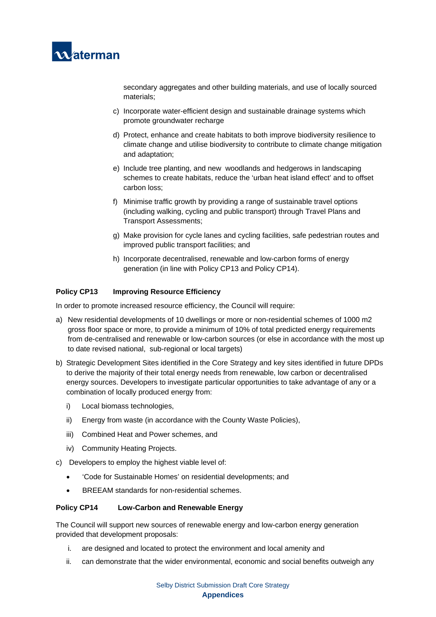

secondary aggregates and other building materials, and use of locally sourced materials;

- c) Incorporate water-efficient design and sustainable drainage systems which promote groundwater recharge
- d) Protect, enhance and create habitats to both improve biodiversity resilience to climate change and utilise biodiversity to contribute to climate change mitigation and adaptation;
- e) Include tree planting, and new woodlands and hedgerows in landscaping schemes to create habitats, reduce the 'urban heat island effect' and to offset carbon loss;
- f) Minimise traffic growth by providing a range of sustainable travel options (including walking, cycling and public transport) through Travel Plans and Transport Assessments;
- g) Make provision for cycle lanes and cycling facilities, safe pedestrian routes and improved public transport facilities; and
- h) Incorporate decentralised, renewable and low-carbon forms of energy generation (in line with Policy CP13 and Policy CP14).

#### **Policy CP13 Improving Resource Efficiency**

In order to promote increased resource efficiency, the Council will require:

- a) New residential developments of 10 dwellings or more or non-residential schemes of 1000 m2 gross floor space or more, to provide a minimum of 10% of total predicted energy requirements from de-centralised and renewable or low-carbon sources (or else in accordance with the most up to date revised national, sub-regional or local targets)
- b) Strategic Development Sites identified in the Core Strategy and key sites identified in future DPDs to derive the majority of their total energy needs from renewable, low carbon or decentralised energy sources. Developers to investigate particular opportunities to take advantage of any or a combination of locally produced energy from:
	- i) Local biomass technologies,
	- ii) Energy from waste (in accordance with the County Waste Policies),
	- iii) Combined Heat and Power schemes, and
	- iv) Community Heating Projects.
- c) Developers to employ the highest viable level of:
	- 'Code for Sustainable Homes' on residential developments; and
	- BREEAM standards for non-residential schemes.

#### **Policy CP14 Low-Carbon and Renewable Energy**

The Council will support new sources of renewable energy and low-carbon energy generation provided that development proposals:

- i. are designed and located to protect the environment and local amenity and
- ii. can demonstrate that the wider environmental, economic and social benefits outweigh any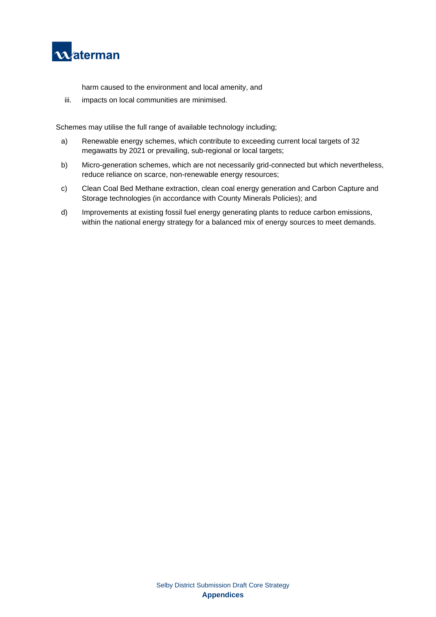

harm caused to the environment and local amenity, and

iii. impacts on local communities are minimised.

Schemes may utilise the full range of available technology including;

- a) Renewable energy schemes, which contribute to exceeding current local targets of 32 megawatts by 2021 or prevailing, sub-regional or local targets;
- b) Micro-generation schemes, which are not necessarily grid-connected but which nevertheless, reduce reliance on scarce, non-renewable energy resources;
- c) Clean Coal Bed Methane extraction, clean coal energy generation and Carbon Capture and Storage technologies (in accordance with County Minerals Policies); and
- d) Improvements at existing fossil fuel energy generating plants to reduce carbon emissions, within the national energy strategy for a balanced mix of energy sources to meet demands.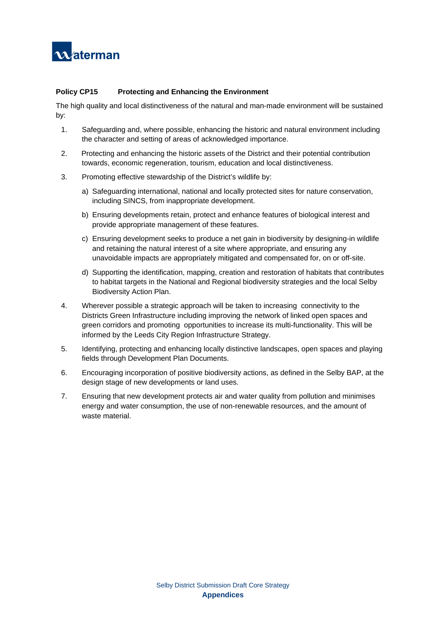

#### **Policy CP15 Protecting and Enhancing the Environment**

The high quality and local distinctiveness of the natural and man-made environment will be sustained by:

- 1. Safeguarding and, where possible, enhancing the historic and natural environment including the character and setting of areas of acknowledged importance.
- 2. Protecting and enhancing the historic assets of the District and their potential contribution towards, economic regeneration, tourism, education and local distinctiveness.
- 3. Promoting effective stewardship of the District's wildlife by:
	- a) Safeguarding international, national and locally protected sites for nature conservation, including SINCS, from inappropriate development.
	- b) Ensuring developments retain, protect and enhance features of biological interest and provide appropriate management of these features.
	- c) Ensuring development seeks to produce a net gain in biodiversity by designing-in wildlife and retaining the natural interest of a site where appropriate, and ensuring any unavoidable impacts are appropriately mitigated and compensated for, on or off-site.
	- d) Supporting the identification, mapping, creation and restoration of habitats that contributes to habitat targets in the National and Regional biodiversity strategies and the local Selby Biodiversity Action Plan.
- 4. Wherever possible a strategic approach will be taken to increasing connectivity to the Districts Green Infrastructure including improving the network of linked open spaces and green corridors and promoting opportunities to increase its multi-functionality. This will be informed by the Leeds City Region Infrastructure Strategy.
- 5. Identifying, protecting and enhancing locally distinctive landscapes, open spaces and playing fields through Development Plan Documents.
- 6. Encouraging incorporation of positive biodiversity actions, as defined in the Selby BAP, at the design stage of new developments or land uses.
- 7. Ensuring that new development protects air and water quality from pollution and minimises energy and water consumption, the use of non-renewable resources, and the amount of waste material.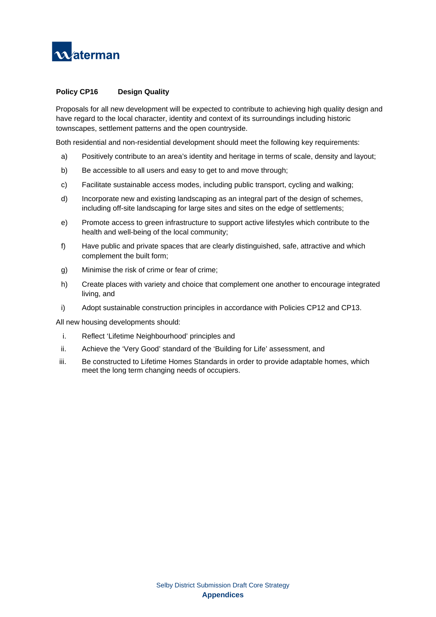

#### **Policy CP16 Design Quality**

Proposals for all new development will be expected to contribute to achieving high quality design and have regard to the local character, identity and context of its surroundings including historic townscapes, settlement patterns and the open countryside.

Both residential and non-residential development should meet the following key requirements:

- a) Positively contribute to an area's identity and heritage in terms of scale, density and layout;
- b) Be accessible to all users and easy to get to and move through;
- c) Facilitate sustainable access modes, including public transport, cycling and walking;
- d) Incorporate new and existing landscaping as an integral part of the design of schemes, including off-site landscaping for large sites and sites on the edge of settlements;
- e) Promote access to green infrastructure to support active lifestyles which contribute to the health and well-being of the local community;
- f) Have public and private spaces that are clearly distinguished, safe, attractive and which complement the built form;
- g) Minimise the risk of crime or fear of crime;
- h) Create places with variety and choice that complement one another to encourage integrated living, and
- i) Adopt sustainable construction principles in accordance with Policies CP12 and CP13.

All new housing developments should:

- i. Reflect 'Lifetime Neighbourhood' principles and
- ii. Achieve the 'Very Good' standard of the 'Building for Life' assessment, and
- iii. Be constructed to Lifetime Homes Standards in order to provide adaptable homes, which meet the long term changing needs of occupiers.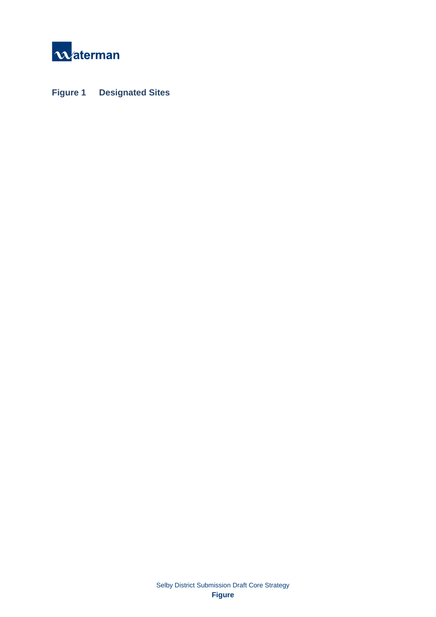

**Figure 1 Designated Sites**